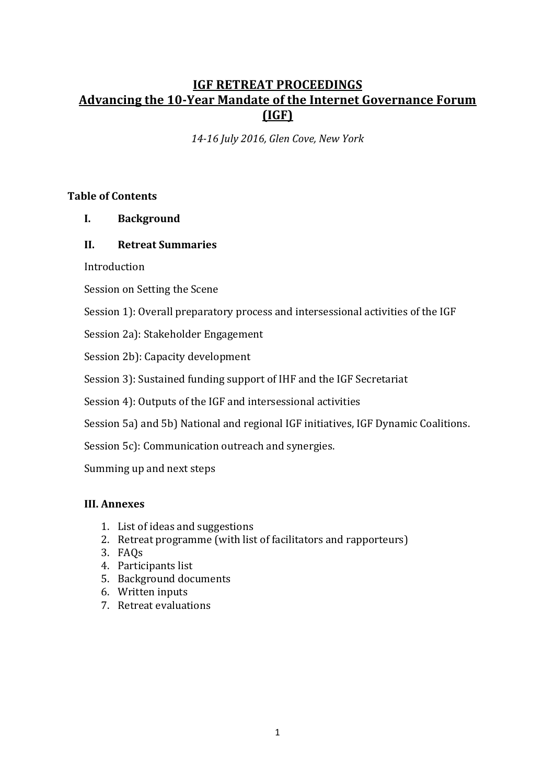# **IGF RETREAT PROCEEDINGS Advancing the 10-Year Mandate of the Internet Governance Forum (IGF)**

*14-16 July 2016, Glen Cove, New York*

#### **Table of Contents**

**I. Background** 

#### **II. Retreat Summaries**

Introduction 

Session on Setting the Scene

Session 1): Overall preparatory process and intersessional activities of the IGF

Session 2a): Stakeholder Engagement

Session 2b): Capacity development

Session 3): Sustained funding support of IHF and the IGF Secretariat

Session 4): Outputs of the IGF and intersessional activities

Session 5a) and 5b) National and regional IGF initiatives, IGF Dynamic Coalitions.

Session 5c): Communication outreach and synergies.

Summing up and next steps

### **III. Annexes**

- 1. List of ideas and suggestions
- 2. Retreat programme (with list of facilitators and rapporteurs)
- 3. FAQs
- 4. Participants list
- 5. Background documents
- 6. Written inputs
- 7. Retreat evaluations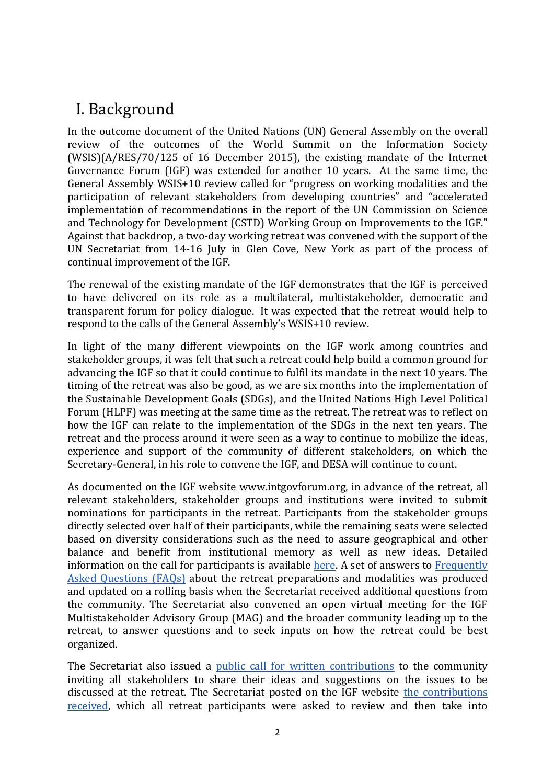# I. Background

In the outcome document of the United Nations (UN) General Assembly on the overall review of the outcomes of the World Summit on the Information Society  $(WSIS)(A/RES/70/125$  of 16 December 2015), the existing mandate of the Internet Governance Forum (IGF) was extended for another 10 years. At the same time, the General Assembly WSIS+10 review called for "progress on working modalities and the participation of relevant stakeholders from developing countries" and "accelerated implementation of recommendations in the report of the UN Commission on Science and Technology for Development (CSTD) Working Group on Improvements to the IGF." Against that backdrop, a two-day working retreat was convened with the support of the UN Secretariat from 14-16 July in Glen Cove, New York as part of the process of continual improvement of the IGF.

The renewal of the existing mandate of the IGF demonstrates that the IGF is perceived to have delivered on its role as a multilateral, multistakeholder, democratic and transparent forum for policy dialogue. It was expected that the retreat would help to respond to the calls of the General Assembly's WSIS+10 review.

In light of the many different viewpoints on the IGF work among countries and stakeholder groups, it was felt that such a retreat could help build a common ground for advancing the IGF so that it could continue to fulfil its mandate in the next 10 years. The timing of the retreat was also be good, as we are six months into the implementation of the Sustainable Development Goals (SDGs), and the United Nations High Level Political Forum (HLPF) was meeting at the same time as the retreat. The retreat was to reflect on how the IGF can relate to the implementation of the SDGs in the next ten years. The retreat and the process around it were seen as a way to continue to mobilize the ideas, experience and support of the community of different stakeholders, on which the Secretary-General, in his role to convene the IGF, and DESA will continue to count.

As documented on the IGF website www.intgovforum.org, in advance of the retreat, all relevant stakeholders, stakeholder groups and institutions were invited to submit nominations for participants in the retreat. Participants from the stakeholder groups directly selected over half of their participants, while the remaining seats were selected based on diversity considerations such as the need to assure geographical and other balance and benefit from institutional memory as well as new ideas. Detailed information on the call for participants is available here. A set of answers to Frequently Asked Questions (FAQs) about the retreat preparations and modalities was produced and updated on a rolling basis when the Secretariat received additional questions from the community. The Secretariat also convened an open virtual meeting for the IGF Multistakeholder Advisory Group (MAG) and the broader community leading up to the retreat, to answer questions and to seek inputs on how the retreat could be best organized. 

The Secretariat also issued a public call for written contributions to the community inviting all stakeholders to share their ideas and suggestions on the issues to be discussed at the retreat. The Secretariat posted on the IGF website the contributions received, which all retreat participants were asked to review and then take into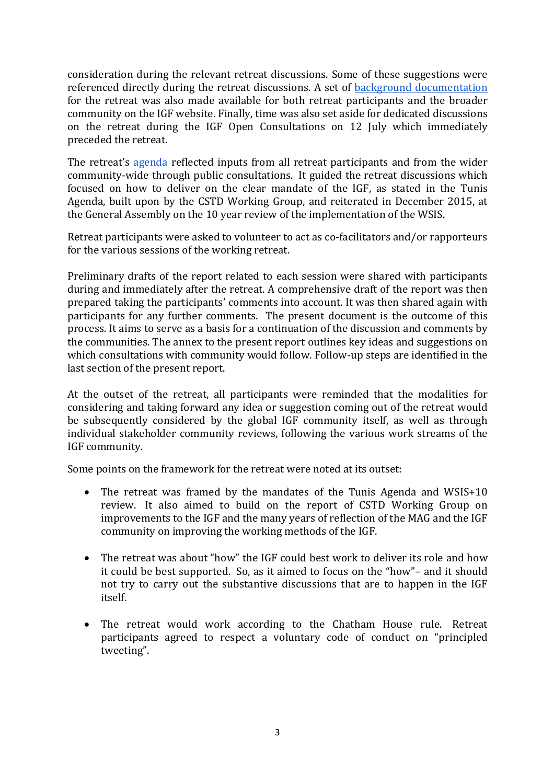consideration during the relevant retreat discussions. Some of these suggestions were referenced directly during the retreat discussions. A set of background documentation for the retreat was also made available for both retreat participants and the broader community on the IGF website. Finally, time was also set aside for dedicated discussions on the retreat during the IGF Open Consultations on 12 July which immediately preceded the retreat.

The retreat's agenda reflected inputs from all retreat participants and from the wider community-wide through public consultations. It guided the retreat discussions which focused on how to deliver on the clear mandate of the IGF, as stated in the Tunis Agenda, built upon by the CSTD Working Group, and reiterated in December 2015, at the General Assembly on the 10 year review of the implementation of the WSIS.

Retreat participants were asked to volunteer to act as co-facilitators and/or rapporteurs for the various sessions of the working retreat.

Preliminary drafts of the report related to each session were shared with participants during and immediately after the retreat. A comprehensive draft of the report was then prepared taking the participants' comments into account. It was then shared again with participants for any further comments. The present document is the outcome of this process. It aims to serve as a basis for a continuation of the discussion and comments by the communities. The annex to the present report outlines key ideas and suggestions on which consultations with community would follow. Follow-up steps are identified in the last section of the present report.

At the outset of the retreat, all participants were reminded that the modalities for considering and taking forward any idea or suggestion coming out of the retreat would be subsequently considered by the global IGF community itself, as well as through individual stakeholder community reviews, following the various work streams of the IGF community.

Some points on the framework for the retreat were noted at its outset:

- The retreat was framed by the mandates of the Tunis Agenda and WSIS+10 review. It also aimed to build on the report of CSTD Working Group on improvements to the IGF and the many years of reflection of the MAG and the IGF community on improving the working methods of the IGF.
- The retreat was about "how" the IGF could best work to deliver its role and how it could be best supported. So, as it aimed to focus on the "how"- and it should not try to carry out the substantive discussions that are to happen in the IGF itself.
- The retreat would work according to the Chatham House rule. Retreat participants agreed to respect a voluntary code of conduct on "principled tweeting".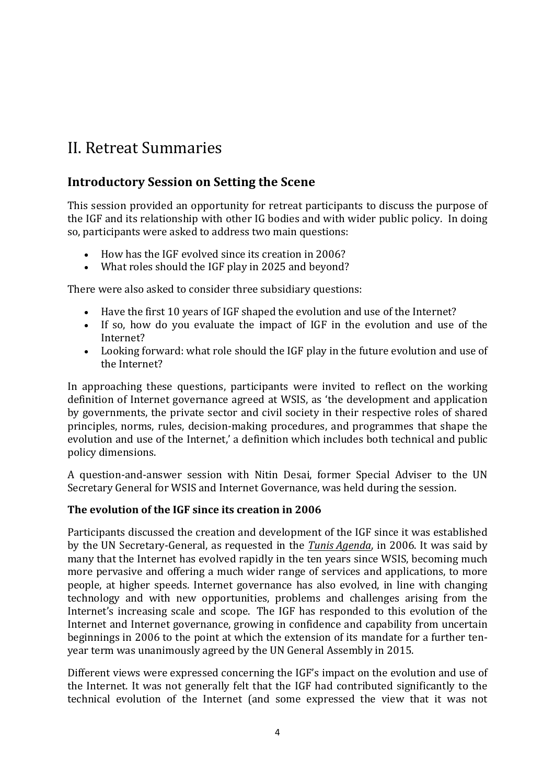# II. Retreat Summaries

# **Introductory Session on Setting the Scene**

This session provided an opportunity for retreat participants to discuss the purpose of the IGF and its relationship with other IG bodies and with wider public policy. In doing so, participants were asked to address two main questions:

- How has the IGF evolved since its creation in 2006?
- What roles should the IGF play in 2025 and beyond?

There were also asked to consider three subsidiary questions:

- Have the first 10 years of IGF shaped the evolution and use of the Internet?
- If so, how do you evaluate the impact of IGF in the evolution and use of the Internet?
- Looking forward: what role should the IGF play in the future evolution and use of the Internet?

In approaching these questions, participants were invited to reflect on the working definition of Internet governance agreed at WSIS, as 'the development and application by governments, the private sector and civil society in their respective roles of shared principles, norms, rules, decision-making procedures, and programmes that shape the evolution and use of the Internet,' a definition which includes both technical and public policy dimensions. 

A question-and-answer session with Nitin Desai, former Special Adviser to the UN Secretary General for WSIS and Internet Governance, was held during the session.

### **The evolution of the IGF since its creation in 2006**

Participants discussed the creation and development of the IGF since it was established by the UN Secretary-General, as requested in the *Tunis Agenda*, in 2006. It was said by many that the Internet has evolved rapidly in the ten years since WSIS, becoming much more pervasive and offering a much wider range of services and applications, to more people, at higher speeds. Internet governance has also evolved, in line with changing technology and with new opportunities, problems and challenges arising from the Internet's increasing scale and scope. The IGF has responded to this evolution of the Internet and Internet governance, growing in confidence and capability from uncertain beginnings in 2006 to the point at which the extension of its mandate for a further tenyear term was unanimously agreed by the UN General Assembly in 2015.

Different views were expressed concerning the IGF's impact on the evolution and use of the Internet. It was not generally felt that the IGF had contributed significantly to the technical evolution of the Internet (and some expressed the view that it was not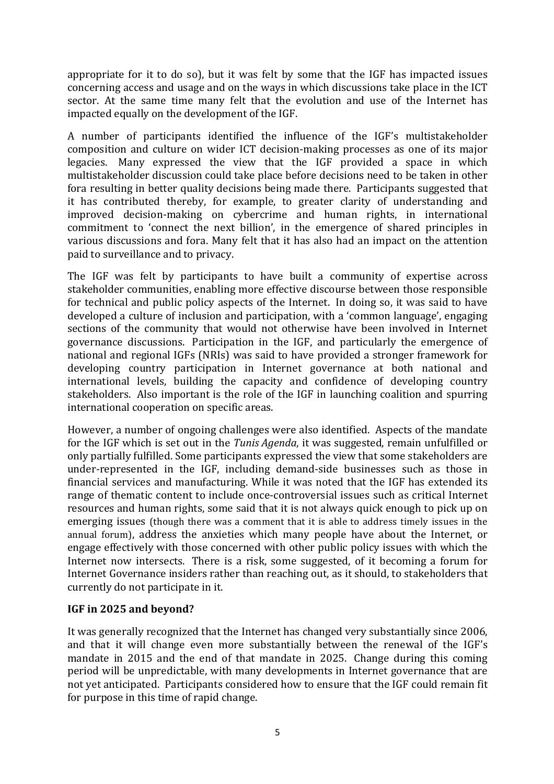appropriate for it to do so), but it was felt by some that the IGF has impacted issues concerning access and usage and on the ways in which discussions take place in the ICT sector. At the same time many felt that the evolution and use of the Internet has impacted equally on the development of the IGF.

A number of participants identified the influence of the IGF's multistakeholder composition and culture on wider ICT decision-making processes as one of its major legacies. Many expressed the view that the IGF provided a space in which multistakeholder discussion could take place before decisions need to be taken in other fora resulting in better quality decisions being made there. Participants suggested that it has contributed thereby, for example, to greater clarity of understanding and improved decision-making on cybercrime and human rights, in international commitment to 'connect the next billion', in the emergence of shared principles in various discussions and fora. Many felt that it has also had an impact on the attention paid to surveillance and to privacy.

The IGF was felt by participants to have built a community of expertise across stakeholder communities, enabling more effective discourse between those responsible for technical and public policy aspects of the Internet. In doing so, it was said to have developed a culture of inclusion and participation, with a 'common language', engaging sections of the community that would not otherwise have been involved in Internet governance discussions. Participation in the IGF, and particularly the emergence of national and regional IGFs (NRIs) was said to have provided a stronger framework for developing country participation in Internet governance at both national and international levels, building the capacity and confidence of developing country stakeholders. Also important is the role of the IGF in launching coalition and spurring international cooperation on specific areas.

However, a number of ongoing challenges were also identified. Aspects of the mandate for the IGF which is set out in the *Tunis Agenda*, it was suggested, remain unfulfilled or only partially fulfilled. Some participants expressed the view that some stakeholders are under-represented in the IGF, including demand-side businesses such as those in financial services and manufacturing. While it was noted that the IGF has extended its range of thematic content to include once-controversial issues such as critical Internet resources and human rights, some said that it is not always quick enough to pick up on emerging issues (though there was a comment that it is able to address timely issues in the annual forum), address the anxieties which many people have about the Internet, or engage effectively with those concerned with other public policy issues with which the Internet now intersects. There is a risk, some suggested, of it becoming a forum for Internet Governance insiders rather than reaching out, as it should, to stakeholders that currently do not participate in it.

### **IGF** in 2025 and beyond?

It was generally recognized that the Internet has changed very substantially since 2006, and that it will change even more substantially between the renewal of the IGF's mandate in 2015 and the end of that mandate in 2025. Change during this coming period will be unpredictable, with many developments in Internet governance that are not vet anticipated. Participants considered how to ensure that the IGF could remain fit for purpose in this time of rapid change.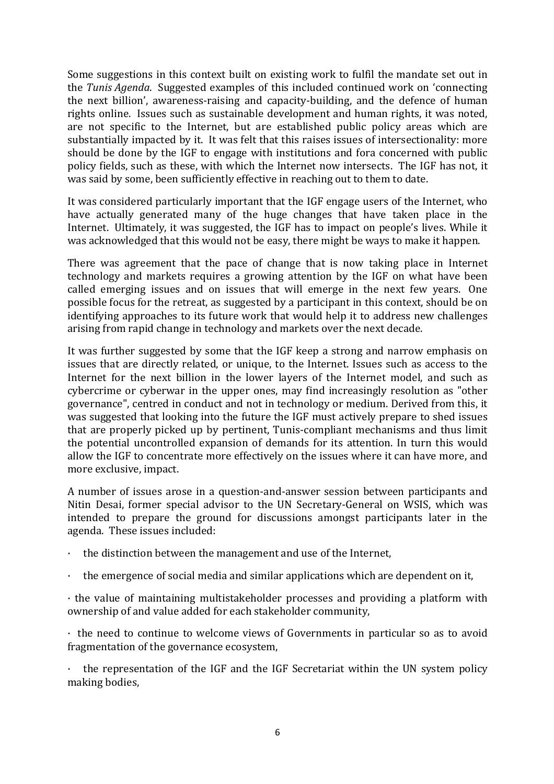Some suggestions in this context built on existing work to fulfil the mandate set out in the *Tunis Agenda*. Suggested examples of this included continued work on 'connecting the next billion', awareness-raising and capacity-building, and the defence of human rights online. Issues such as sustainable development and human rights, it was noted, are not specific to the Internet, but are established public policy areas which are substantially impacted by it. It was felt that this raises issues of intersectionality: more should be done by the IGF to engage with institutions and fora concerned with public policy fields, such as these, with which the Internet now intersects. The IGF has not, it was said by some, been sufficiently effective in reaching out to them to date.

It was considered particularly important that the IGF engage users of the Internet, who have actually generated many of the huge changes that have taken place in the Internet. Ultimately, it was suggested, the IGF has to impact on people's lives. While it was acknowledged that this would not be easy, there might be ways to make it happen.

There was agreement that the pace of change that is now taking place in Internet technology and markets requires a growing attention by the IGF on what have been called emerging issues and on issues that will emerge in the next few years. One possible focus for the retreat, as suggested by a participant in this context, should be on identifying approaches to its future work that would help it to address new challenges arising from rapid change in technology and markets over the next decade.

It was further suggested by some that the IGF keep a strong and narrow emphasis on issues that are directly related, or unique, to the Internet. Issues such as access to the Internet for the next billion in the lower layers of the Internet model, and such as cybercrime or cyberwar in the upper ones, may find increasingly resolution as "other governance", centred in conduct and not in technology or medium. Derived from this, it was suggested that looking into the future the IGF must actively prepare to shed issues that are properly picked up by pertinent, Tunis-compliant mechanisms and thus limit the potential uncontrolled expansion of demands for its attention. In turn this would allow the IGF to concentrate more effectively on the issues where it can have more, and more exclusive, impact.

A number of issues arose in a question-and-answer session between participants and Nitin Desai, former special advisor to the UN Secretary-General on WSIS, which was intended to prepare the ground for discussions amongst participants later in the agenda. These issues included:

- the distinction between the management and use of the Internet,
- $\cdot$  the emergence of social media and similar applications which are dependent on it,

 $\cdot$  the value of maintaining multistakeholder processes and providing a platform with ownership of and value added for each stakeholder community,

 $\cdot$  the need to continue to welcome views of Governments in particular so as to avoid fragmentation of the governance ecosystem,

the representation of the IGF and the IGF Secretariat within the UN system policy making bodies,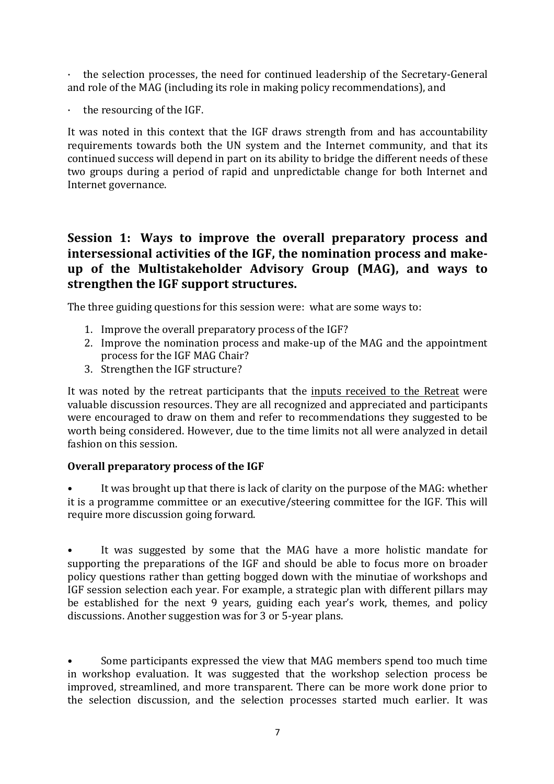$\cdot$  the selection processes, the need for continued leadership of the Secretary-General and role of the MAG (including its role in making policy recommendations), and

 $\cdot$  the resourcing of the IGF.

It was noted in this context that the IGF draws strength from and has accountability requirements towards both the UN system and the Internet community, and that its continued success will depend in part on its ability to bridge the different needs of these two groups during a period of rapid and unpredictable change for both Internet and Internet governance.

# **Session 1: Ways to improve the overall preparatory process and** intersessional activities of the IGF, the nomination process and makeup of the Multistakeholder Advisory Group (MAG), and ways to strengthen the IGF support structures.

The three guiding questions for this session were: what are some ways to:

- 1. Improve the overall preparatory process of the IGF?
- 2. Improve the nomination process and make-up of the MAG and the appointment process for the IGF MAG Chair?
- 3. Strengthen the IGF structure?

It was noted by the retreat participants that the inputs received to the Retreat were valuable discussion resources. They are all recognized and appreciated and participants were encouraged to draw on them and refer to recommendations they suggested to be worth being considered. However, due to the time limits not all were analyzed in detail fashion on this session.

## **Overall preparatory process of the IGF**

It was brought up that there is lack of clarity on the purpose of the MAG: whether it is a programme committee or an executive/steering committee for the IGF. This will require more discussion going forward.

It was suggested by some that the MAG have a more holistic mandate for supporting the preparations of the IGF and should be able to focus more on broader policy questions rather than getting bogged down with the minutiae of workshops and IGF session selection each year. For example, a strategic plan with different pillars may be established for the next 9 years, guiding each year's work, themes, and policy discussions. Another suggestion was for 3 or 5-year plans.

Some participants expressed the view that MAG members spend too much time in workshop evaluation. It was suggested that the workshop selection process be improved, streamlined, and more transparent. There can be more work done prior to the selection discussion, and the selection processes started much earlier. It was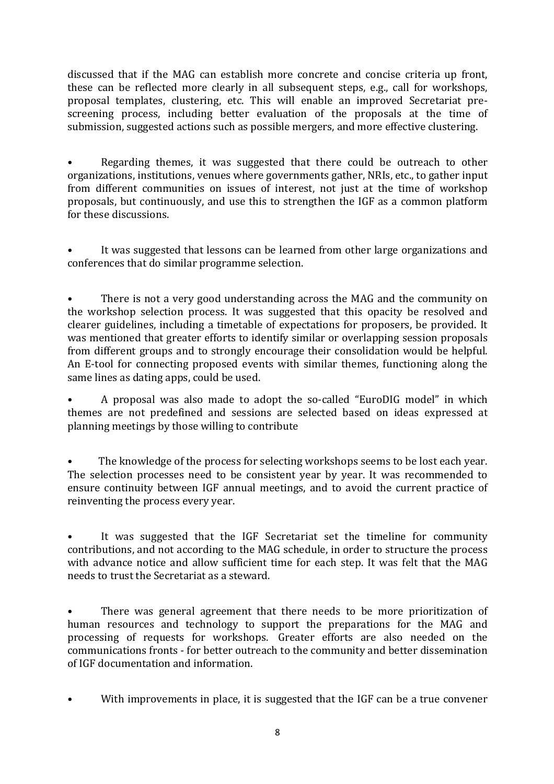discussed that if the MAG can establish more concrete and concise criteria up front, these can be reflected more clearly in all subsequent steps, e.g., call for workshops, proposal templates, clustering, etc. This will enable an improved Secretariat prescreening process, including better evaluation of the proposals at the time of submission, suggested actions such as possible mergers, and more effective clustering.

Regarding themes, it was suggested that there could be outreach to other organizations, institutions, venues where governments gather, NRIs, etc., to gather input from different communities on issues of interest, not just at the time of workshop proposals, but continuously, and use this to strengthen the IGF as a common platform for these discussions.

It was suggested that lessons can be learned from other large organizations and conferences that do similar programme selection.

• There is not a very good understanding across the MAG and the community on the workshop selection process. It was suggested that this opacity be resolved and clearer guidelines, including a timetable of expectations for proposers, be provided. It was mentioned that greater efforts to identify similar or overlapping session proposals from different groups and to strongly encourage their consolidation would be helpful. An E-tool for connecting proposed events with similar themes, functioning along the same lines as dating apps, could be used.

A proposal was also made to adopt the so-called "EuroDIG model" in which themes are not predefined and sessions are selected based on ideas expressed at planning meetings by those willing to contribute

• The knowledge of the process for selecting workshops seems to be lost each year. The selection processes need to be consistent year by year. It was recommended to ensure continuity between IGF annual meetings, and to avoid the current practice of reinventing the process every year.

It was suggested that the IGF Secretariat set the timeline for community contributions, and not according to the MAG schedule, in order to structure the process with advance notice and allow sufficient time for each step. It was felt that the MAG needs to trust the Secretariat as a steward.

There was general agreement that there needs to be more prioritization of human resources and technology to support the preparations for the MAG and processing of requests for workshops. Greater efforts are also needed on the communications fronts - for better outreach to the community and better dissemination of IGF documentation and information.

• With improvements in place, it is suggested that the IGF can be a true convener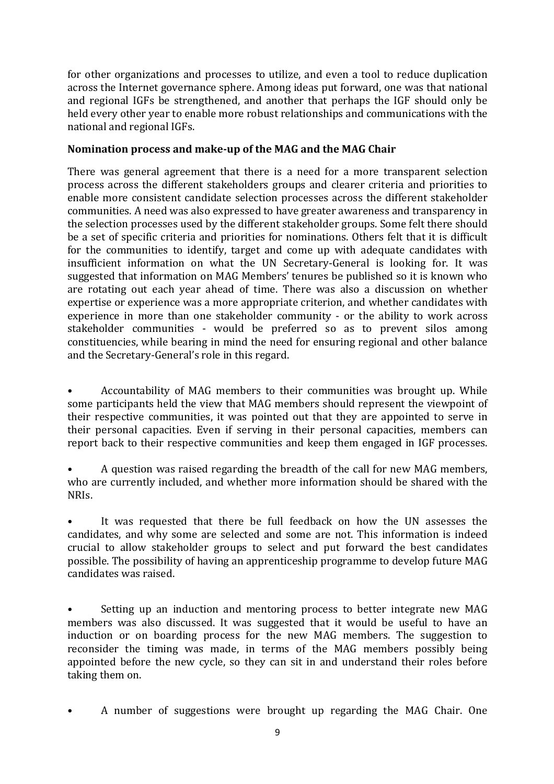for other organizations and processes to utilize, and even a tool to reduce duplication across the Internet governance sphere. Among ideas put forward, one was that national and regional IGFs be strengthened, and another that perhaps the IGF should only be held every other year to enable more robust relationships and communications with the national and regional IGFs.

### **Nomination process and make-up of the MAG and the MAG Chair**

There was general agreement that there is a need for a more transparent selection process across the different stakeholders groups and clearer criteria and priorities to enable more consistent candidate selection processes across the different stakeholder communities. A need was also expressed to have greater awareness and transparency in the selection processes used by the different stakeholder groups. Some felt there should be a set of specific criteria and priorities for nominations. Others felt that it is difficult for the communities to identify, target and come up with adequate candidates with insufficient information on what the UN Secretary-General is looking for. It was suggested that information on MAG Members' tenures be published so it is known who are rotating out each year ahead of time. There was also a discussion on whether expertise or experience was a more appropriate criterion, and whether candidates with experience in more than one stakeholder community - or the ability to work across stakeholder communities - would be preferred so as to prevent silos among constituencies, while bearing in mind the need for ensuring regional and other balance and the Secretary-General's role in this regard.

Accountability of MAG members to their communities was brought up. While some participants held the view that MAG members should represent the viewpoint of their respective communities, it was pointed out that they are appointed to serve in their personal capacities. Even if serving in their personal capacities, members can report back to their respective communities and keep them engaged in IGF processes.

A question was raised regarding the breadth of the call for new MAG members, who are currently included, and whether more information should be shared with the NRIs.

It was requested that there be full feedback on how the UN assesses the candidates, and why some are selected and some are not. This information is indeed crucial to allow stakeholder groups to select and put forward the best candidates possible. The possibility of having an apprenticeship programme to develop future MAG candidates was raised.

Setting up an induction and mentoring process to better integrate new MAG members was also discussed. It was suggested that it would be useful to have an induction or on boarding process for the new MAG members. The suggestion to reconsider the timing was made, in terms of the MAG members possibly being appointed before the new cycle, so they can sit in and understand their roles before taking them on.

A number of suggestions were brought up regarding the MAG Chair. One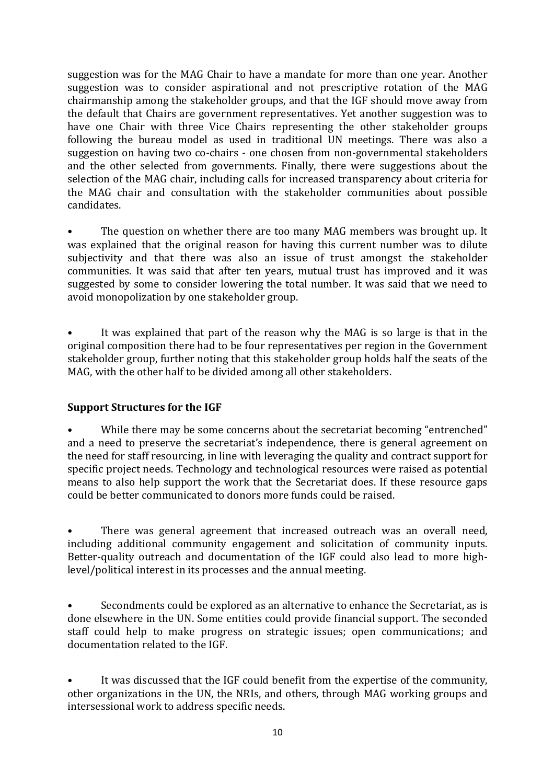suggestion was for the MAG Chair to have a mandate for more than one year. Another suggestion was to consider aspirational and not prescriptive rotation of the MAG chairmanship among the stakeholder groups, and that the IGF should move away from the default that Chairs are government representatives. Yet another suggestion was to have one Chair with three Vice Chairs representing the other stakeholder groups following the bureau model as used in traditional UN meetings. There was also a suggestion on having two co-chairs - one chosen from non-governmental stakeholders and the other selected from governments. Finally, there were suggestions about the selection of the MAG chair, including calls for increased transparency about criteria for the MAG chair and consultation with the stakeholder communities about possible candidates. 

The question on whether there are too many MAG members was brought up. It was explained that the original reason for having this current number was to dilute subjectivity and that there was also an issue of trust amongst the stakeholder communities. It was said that after ten years, mutual trust has improved and it was suggested by some to consider lowering the total number. It was said that we need to avoid monopolization by one stakeholder group.

It was explained that part of the reason why the MAG is so large is that in the original composition there had to be four representatives per region in the Government stakeholder group, further noting that this stakeholder group holds half the seats of the MAG, with the other half to be divided among all other stakeholders.

## **Support Structures for the IGF**

While there may be some concerns about the secretariat becoming "entrenched" and a need to preserve the secretariat's independence, there is general agreement on the need for staff resourcing, in line with leveraging the quality and contract support for specific project needs. Technology and technological resources were raised as potential means to also help support the work that the Secretariat does. If these resource gaps could be better communicated to donors more funds could be raised.

There was general agreement that increased outreach was an overall need, including additional community engagement and solicitation of community inputs. Better-quality outreach and documentation of the IGF could also lead to more highlevel/political interest in its processes and the annual meeting.

Secondments could be explored as an alternative to enhance the Secretariat, as is done elsewhere in the UN. Some entities could provide financial support. The seconded staff could help to make progress on strategic issues; open communications; and documentation related to the IGF.

It was discussed that the IGF could benefit from the expertise of the community, other organizations in the UN, the NRIs, and others, through MAG working groups and intersessional work to address specific needs.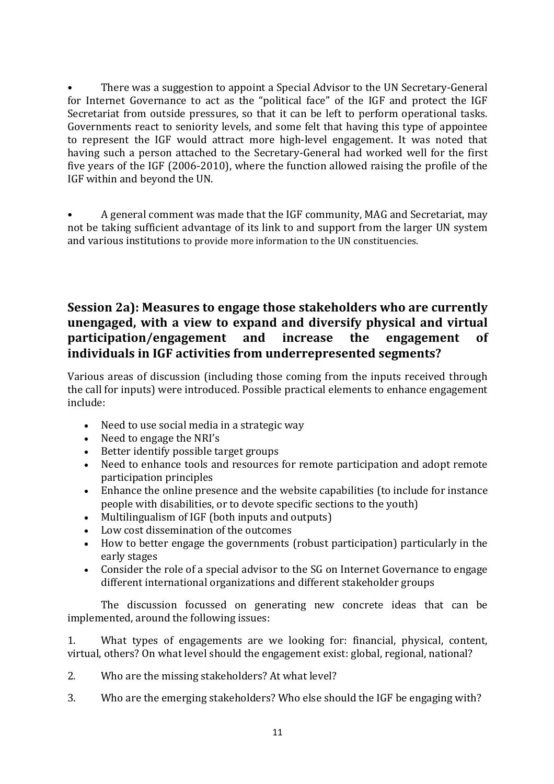There was a suggestion to appoint a Special Advisor to the UN Secretary-General for Internet Governance to act as the "political face" of the IGF and protect the IGF Secretariat from outside pressures, so that it can be left to perform operational tasks. Governments react to seniority levels, and some felt that having this type of appointee to represent the IGF would attract more high-level engagement. It was noted that having such a person attached to the Secretary-General had worked well for the first five years of the IGF  $(2006-2010)$ , where the function allowed raising the profile of the IGF within and beyond the UN.

A general comment was made that the IGF community, MAG and Secretariat, may not be taking sufficient advantage of its link to and support from the larger UN system and various institutions to provide more information to the UN constituencies.

# **Session 2a): Measures to engage those stakeholders who are currently unengaged, with a view to expand and diversify physical and virtual participation/engagement and increase the engagement of** individuals in IGF activities from underrepresented segments?

Various areas of discussion (including those coming from the inputs received through the call for inputs) were introduced. Possible practical elements to enhance engagement include:

- Need to use social media in a strategic way
- Need to engage the NRI's
- Better identify possible target groups
- Need to enhance tools and resources for remote participation and adopt remote participation principles
- Enhance the online presence and the website capabilities (to include for instance people with disabilities, or to devote specific sections to the youth)
- Multilingualism of IGF (both inputs and outputs)
- Low cost dissemination of the outcomes
- How to better engage the governments (robust participation) particularly in the early stages
- Consider the role of a special advisor to the SG on Internet Governance to engage different international organizations and different stakeholder groups

The discussion focussed on generating new concrete ideas that can be implemented, around the following issues:

1. What types of engagements are we looking for: financial, physical, content, virtual, others? On what level should the engagement exist: global, regional, national?

- 2. Who are the missing stakeholders? At what level?
- 3. Who are the emerging stakeholders? Who else should the IGF be engaging with?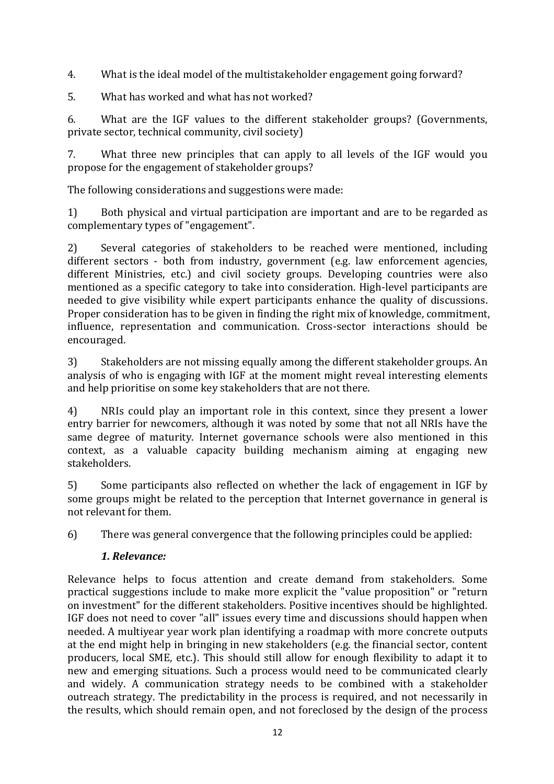4. What is the ideal model of the multistakeholder engagement going forward?

5. What has worked and what has not worked?

6. What are the IGF values to the different stakeholder groups? (Governments, private sector, technical community, civil society)

7. What three new principles that can apply to all levels of the IGF would you propose for the engagement of stakeholder groups?

The following considerations and suggestions were made:

1) Both physical and virtual participation are important and are to be regarded as complementary types of "engagement".

2) Several categories of stakeholders to be reached were mentioned, including  $d$  different sectors - both from industry, government  $(e.g.$  law enforcement agencies, different Ministries, etc.) and civil society groups. Developing countries were also mentioned as a specific category to take into consideration. High-level participants are needed to give visibility while expert participants enhance the quality of discussions. Proper consideration has to be given in finding the right mix of knowledge, commitment, influence, representation and communication. Cross-sector interactions should be encouraged.

3) Stakeholders are not missing equally among the different stakeholder groups. An analysis of who is engaging with IGF at the moment might reveal interesting elements and help prioritise on some key stakeholders that are not there.

4) NRIs could play an important role in this context, since they present a lower entry barrier for newcomers, although it was noted by some that not all NRIs have the same degree of maturity. Internet governance schools were also mentioned in this context, as a valuable capacity building mechanism aiming at engaging new stakeholders.

5) Some participants also reflected on whether the lack of engagement in IGF by some groups might be related to the perception that Internet governance in general is not relevant for them.

6) There was general convergence that the following principles could be applied:

# *1. Relevance:*

Relevance helps to focus attention and create demand from stakeholders. Some practical suggestions include to make more explicit the "value proposition" or "return on investment" for the different stakeholders. Positive incentives should be highlighted. IGF does not need to cover "all" issues every time and discussions should happen when needed. A multiyear year work plan identifying a roadmap with more concrete outputs at the end might help in bringing in new stakeholders (e.g. the financial sector, content producers, local SME, etc.). This should still allow for enough flexibility to adapt it to new and emerging situations. Such a process would need to be communicated clearly and widely. A communication strategy needs to be combined with a stakeholder outreach strategy. The predictability in the process is required, and not necessarily in the results, which should remain open, and not foreclosed by the design of the process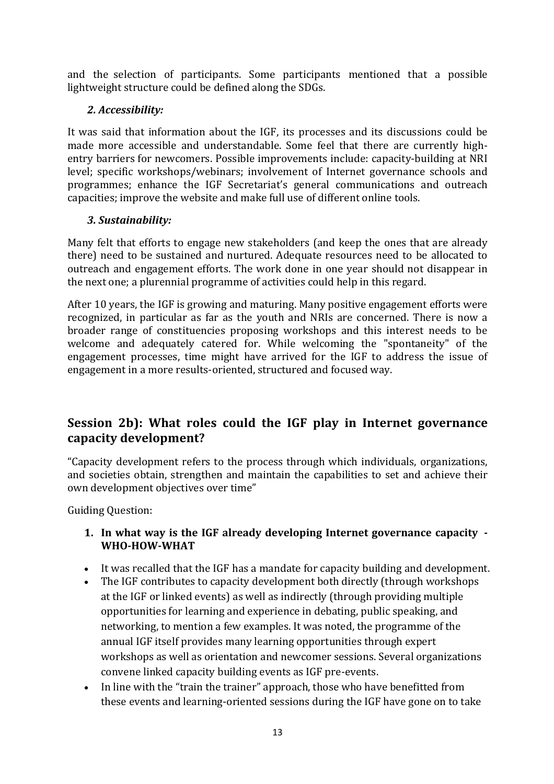and the selection of participants. Some participants mentioned that a possible lightweight structure could be defined along the SDGs.

### *2. Accessibility:*

It was said that information about the IGF, its processes and its discussions could be made more accessible and understandable. Some feel that there are currently highentry barriers for newcomers. Possible improvements include: capacity-building at NRI level; specific workshops/webinars; involvement of Internet governance schools and programmes; enhance the IGF Secretariat's general communications and outreach capacities; improve the website and make full use of different online tools.

### *3. Sustainability:*

Many felt that efforts to engage new stakeholders (and keep the ones that are already there) need to be sustained and nurtured. Adequate resources need to be allocated to outreach and engagement efforts. The work done in one year should not disappear in the next one; a plurennial programme of activities could help in this regard.

After 10 years, the IGF is growing and maturing. Many positive engagement efforts were recognized, in particular as far as the youth and NRIs are concerned. There is now a broader range of constituencies proposing workshops and this interest needs to be welcome and adequately catered for. While welcoming the "spontaneity" of the engagement processes, time might have arrived for the IGF to address the issue of engagement in a more results-oriented, structured and focused way.

# **Session 2b): What roles could the IGF play in Internet governance capacity development?**

"Capacity development refers to the process through which individuals, organizations, and societies obtain, strengthen and maintain the capabilities to set and achieve their own development objectives over time"

Guiding Question:

### **1.** In what way is the IGF already developing Internet governance capacity **-WHO-HOW-WHAT**

- It was recalled that the IGF has a mandate for capacity building and development.
- The IGF contributes to capacity development both directly (through workshops at the IGF or linked events) as well as indirectly (through providing multiple opportunities for learning and experience in debating, public speaking, and networking, to mention a few examples. It was noted, the programme of the annual IGF itself provides many learning opportunities through expert workshops as well as orientation and newcomer sessions. Several organizations convene linked capacity building events as IGF pre-events.
- In line with the "train the trainer" approach, those who have benefitted from these events and learning-oriented sessions during the IGF have gone on to take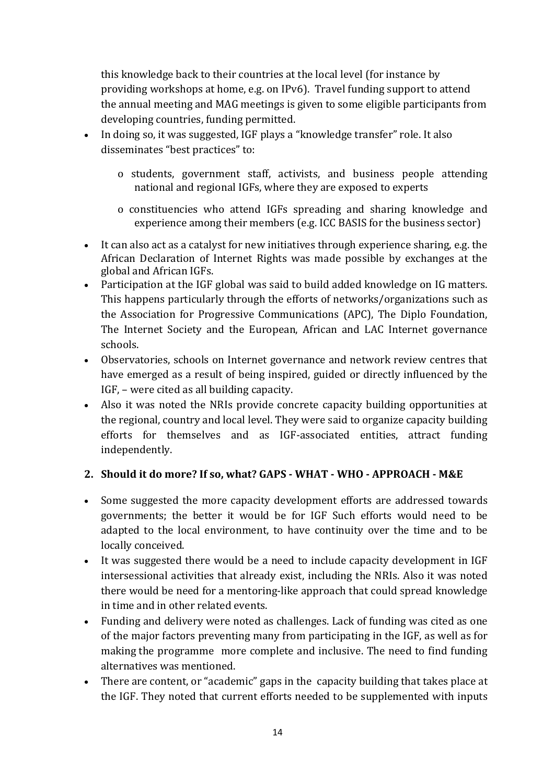this knowledge back to their countries at the local level (for instance by providing workshops at home, e.g. on IPv6). Travel funding support to attend the annual meeting and MAG meetings is given to some eligible participants from developing countries, funding permitted.

- In doing so, it was suggested, IGF plays a "knowledge transfer" role. It also disseminates "best practices" to:
	- o students, government staff, activists, and business people attending national and regional IGFs, where they are exposed to experts
	- o constituencies who attend IGFs spreading and sharing knowledge and experience among their members (e.g. ICC BASIS for the business sector)
- It can also act as a catalyst for new initiatives through experience sharing, e.g. the African Declaration of Internet Rights was made possible by exchanges at the global and African IGFs.
- Participation at the IGF global was said to build added knowledge on IG matters. This happens particularly through the efforts of networks/organizations such as the Association for Progressive Communications (APC), The Diplo Foundation, The Internet Society and the European, African and LAC Internet governance schools.
- Observatories, schools on Internet governance and network review centres that have emerged as a result of being inspired, guided or directly influenced by the IGF, – were cited as all building capacity.
- Also it was noted the NRIs provide concrete capacity building opportunities at the regional, country and local level. They were said to organize capacity building efforts for themselves and as IGF-associated entities, attract funding independently.

## **2. Should it do more? If so, what? GAPS - WHAT - WHO - APPROACH - M&E**

- Some suggested the more capacity development efforts are addressed towards governments; the better it would be for IGF Such efforts would need to be adapted to the local environment, to have continuity over the time and to be locally conceived.
- It was suggested there would be a need to include capacity development in IGF intersessional activities that already exist, including the NRIs. Also it was noted there would be need for a mentoring-like approach that could spread knowledge in time and in other related events.
- Funding and delivery were noted as challenges. Lack of funding was cited as one of the major factors preventing many from participating in the IGF, as well as for making the programme more complete and inclusive. The need to find funding alternatives was mentioned.
- There are content, or "academic" gaps in the capacity building that takes place at the IGF. They noted that current efforts needed to be supplemented with inputs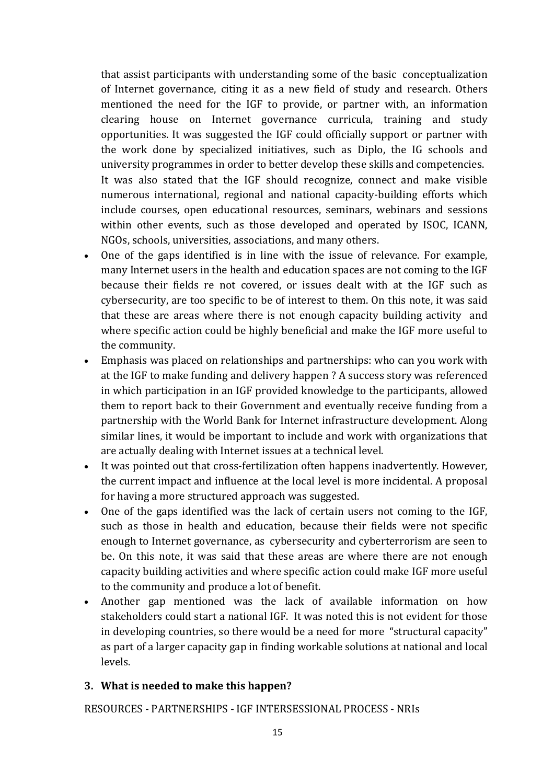that assist participants with understanding some of the basic conceptualization of Internet governance, citing it as a new field of study and research. Others mentioned the need for the IGF to provide, or partner with, an information clearing house on Internet governance curricula, training and study opportunities. It was suggested the IGF could officially support or partner with the work done by specialized initiatives, such as Diplo, the IG schools and university programmes in order to better develop these skills and competencies.

It was also stated that the IGF should recognize, connect and make visible numerous international, regional and national capacity-building efforts which include courses, open educational resources, seminars, webinars and sessions within other events, such as those developed and operated by ISOC, ICANN, NGOs, schools, universities, associations, and many others.

- One of the gaps identified is in line with the issue of relevance. For example, many Internet users in the health and education spaces are not coming to the IGF because their fields re not covered, or issues dealt with at the IGF such as cybersecurity, are too specific to be of interest to them. On this note, it was said that these are areas where there is not enough capacity building activity and where specific action could be highly beneficial and make the IGF more useful to the community.
- Emphasis was placed on relationships and partnerships: who can you work with at the IGF to make funding and delivery happen ? A success story was referenced in which participation in an IGF provided knowledge to the participants, allowed them to report back to their Government and eventually receive funding from a partnership with the World Bank for Internet infrastructure development. Along similar lines, it would be important to include and work with organizations that are actually dealing with Internet issues at a technical level.
- It was pointed out that cross-fertilization often happens inadvertently. However, the current impact and influence at the local level is more incidental. A proposal for having a more structured approach was suggested.
- One of the gaps identified was the lack of certain users not coming to the IGF, such as those in health and education, because their fields were not specific enough to Internet governance, as cybersecurity and cyberterrorism are seen to be. On this note, it was said that these areas are where there are not enough capacity building activities and where specific action could make IGF more useful to the community and produce a lot of benefit.
- Another gap mentioned was the lack of available information on how stakeholders could start a national IGF. It was noted this is not evident for those in developing countries, so there would be a need for more "structural capacity" as part of a larger capacity gap in finding workable solutions at national and local levels.

## **3.** What is needed to make this happen?

RESOURCES - PARTNERSHIPS - IGF INTERSESSIONAL PROCESS - NRIS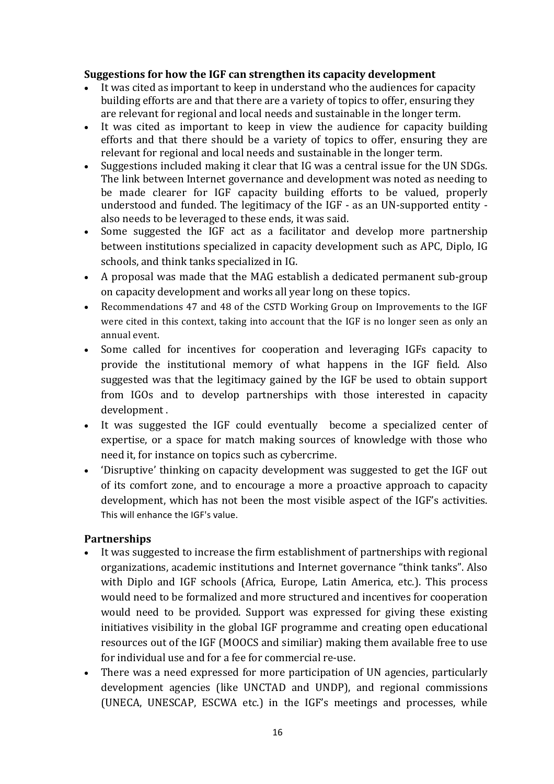### Suggestions for how the IGF can strengthen its capacity development

- It was cited as important to keep in understand who the audiences for capacity building efforts are and that there are a variety of topics to offer, ensuring they are relevant for regional and local needs and sustainable in the longer term.
- It was cited as important to keep in view the audience for capacity building efforts and that there should be a variety of topics to offer, ensuring they are relevant for regional and local needs and sustainable in the longer term.
- Suggestions included making it clear that IG was a central issue for the UN SDGs. The link between Internet governance and development was noted as needing to be made clearer for IGF capacity building efforts to be valued, properly understood and funded. The legitimacy of the  $IGF - as$  an UN-supported entity also needs to be leveraged to these ends, it was said.
- Some suggested the IGF act as a facilitator and develop more partnership between institutions specialized in capacity development such as APC, Diplo, IG schools, and think tanks specialized in IG.
- A proposal was made that the MAG establish a dedicated permanent sub-group on capacity development and works all year long on these topics.
- Recommendations 47 and 48 of the CSTD Working Group on Improvements to the IGF were cited in this context, taking into account that the IGF is no longer seen as only an annual event.
- Some called for incentives for cooperation and leveraging IGFs capacity to provide the institutional memory of what happens in the IGF field. Also suggested was that the legitimacy gained by the IGF be used to obtain support from IGOs and to develop partnerships with those interested in capacity development.
- It was suggested the IGF could eventually become a specialized center of expertise, or a space for match making sources of knowledge with those who need it, for instance on topics such as cybercrime.
- 'Disruptive' thinking on capacity development was suggested to get the IGF out of its comfort zone, and to encourage a more a proactive approach to capacity development, which has not been the most visible aspect of the IGF's activities. This will enhance the IGF's value.

### **Partnerships**

- It was suggested to increase the firm establishment of partnerships with regional organizations, academic institutions and Internet governance "think tanks". Also with Diplo and IGF schools (Africa, Europe, Latin America, etc.). This process would need to be formalized and more structured and incentives for cooperation would need to be provided. Support was expressed for giving these existing initiatives visibility in the global IGF programme and creating open educational resources out of the IGF (MOOCS and similiar) making them available free to use for individual use and for a fee for commercial re-use.
- There was a need expressed for more participation of UN agencies, particularly development agencies (like UNCTAD and UNDP), and regional commissions (UNECA, UNESCAP, ESCWA etc.) in the IGF's meetings and processes, while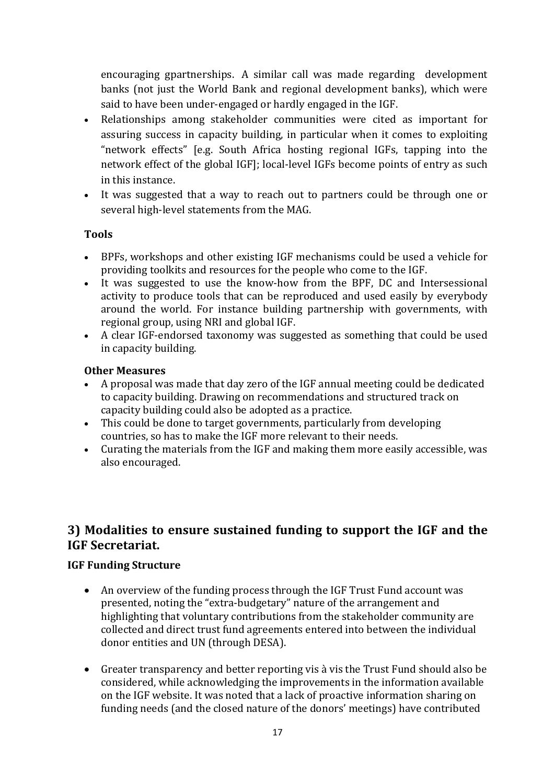encouraging gpartnerships. A similar call was made regarding development banks (not just the World Bank and regional development banks), which were said to have been under-engaged or hardly engaged in the IGF.

- Relationships among stakeholder communities were cited as important for assuring success in capacity building, in particular when it comes to exploiting "network effects" [e.g. South Africa hosting regional IGFs, tapping into the network effect of the global IGF]; local-level IGFs become points of entry as such in this instance.
- It was suggested that a way to reach out to partners could be through one or several high-level statements from the MAG.

### **Tools**

- BPFs, workshops and other existing IGF mechanisms could be used a vehicle for providing toolkits and resources for the people who come to the IGF.
- It was suggested to use the know-how from the BPF, DC and Intersessional activity to produce tools that can be reproduced and used easily by everybody around the world. For instance building partnership with governments, with regional group, using NRI and global IGF.
- A clear IGF-endorsed taxonomy was suggested as something that could be used in capacity building.

### **Other Measures**

- A proposal was made that day zero of the IGF annual meeting could be dedicated to capacity building. Drawing on recommendations and structured track on capacity building could also be adopted as a practice.
- $\bullet$  This could be done to target governments, particularly from developing countries, so has to make the IGF more relevant to their needs.
- Curating the materials from the IGF and making them more easily accessible, was also encouraged.

# **3) Modalities to ensure sustained funding to support the IGF and the IGF Secretariat.**

### **IGF Funding Structure**

- An overview of the funding process through the IGF Trust Fund account was presented, noting the "extra-budgetary" nature of the arrangement and highlighting that voluntary contributions from the stakeholder community are collected and direct trust fund agreements entered into between the individual donor entities and UN (through DESA).
- Greater transparency and better reporting vis à vis the Trust Fund should also be considered, while acknowledging the improvements in the information available on the IGF website. It was noted that a lack of proactive information sharing on funding needs (and the closed nature of the donors' meetings) have contributed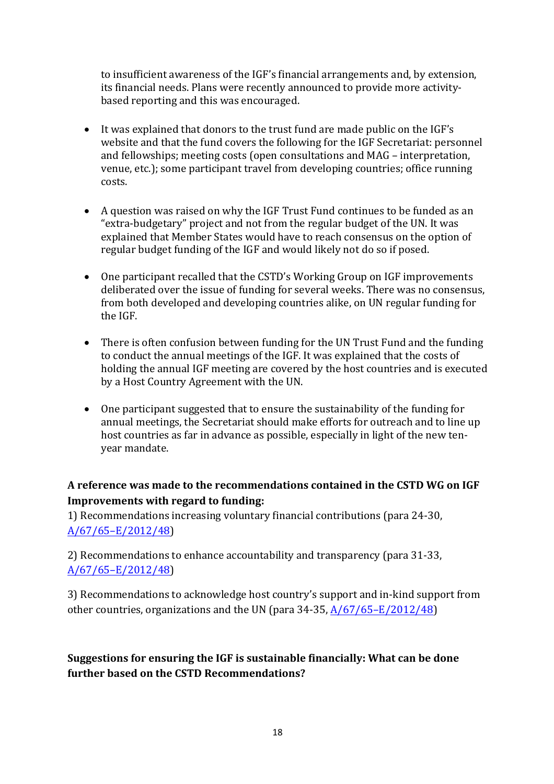to insufficient awareness of the IGF's financial arrangements and, by extension, its financial needs. Plans were recently announced to provide more activitybased reporting and this was encouraged.

- It was explained that donors to the trust fund are made public on the IGF's website and that the fund covers the following for the IGF Secretariat: personnel and fellowships; meeting costs (open consultations and MAG – interpretation, venue, etc.); some participant travel from developing countries; office running costs.
- A question was raised on why the IGF Trust Fund continues to be funded as an "extra-budgetary" project and not from the regular budget of the UN. It was explained that Member States would have to reach consensus on the option of regular budget funding of the IGF and would likely not do so if posed.
- One participant recalled that the CSTD's Working Group on IGF improvements deliberated over the issue of funding for several weeks. There was no consensus, from both developed and developing countries alike, on UN regular funding for the IGF.
- There is often confusion between funding for the UN Trust Fund and the funding to conduct the annual meetings of the IGF. It was explained that the costs of holding the annual IGF meeting are covered by the host countries and is executed by a Host Country Agreement with the UN.
- One participant suggested that to ensure the sustainability of the funding for annual meetings, the Secretariat should make efforts for outreach and to line up host countries as far in advance as possible, especially in light of the new tenvear mandate.

# A reference was made to the recommendations contained in the CSTD WG on IGF **Improvements with regard to funding:**

1) Recommendations increasing voluntary financial contributions (para 24-30, A/67/65–E/2012/48) 

2) Recommendations to enhance accountability and transparency (para 31-33, A/67/65–E/2012/48) 

3) Recommendations to acknowledge host country's support and in-kind support from other countries, organizations and the UN (para 34-35,  $A/67/65-E/2012/48$ )

# **Suggestions for ensuring the IGF is sustainable financially: What can be done further based on the CSTD Recommendations?**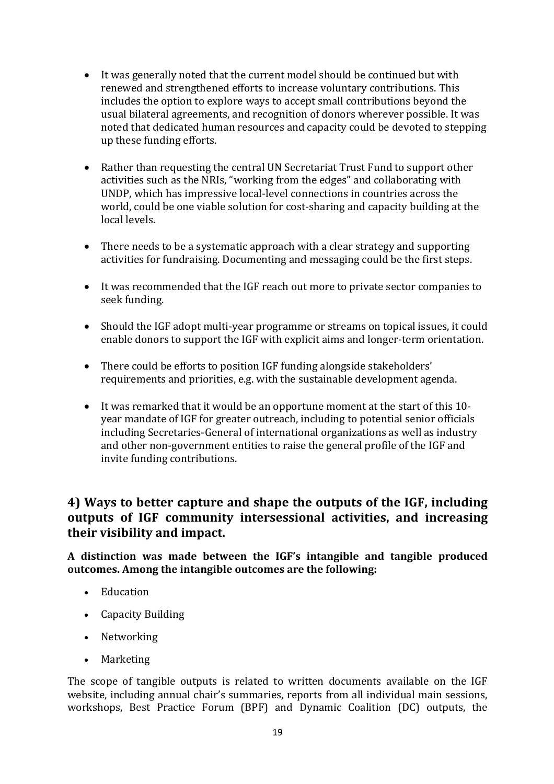- It was generally noted that the current model should be continued but with renewed and strengthened efforts to increase voluntary contributions. This includes the option to explore ways to accept small contributions beyond the usual bilateral agreements, and recognition of donors wherever possible. It was noted that dedicated human resources and capacity could be devoted to stepping up these funding efforts.
- Rather than requesting the central UN Secretariat Trust Fund to support other activities such as the NRIs, "working from the edges" and collaborating with UNDP, which has impressive local-level connections in countries across the world, could be one viable solution for cost-sharing and capacity building at the local levels.
- There needs to be a systematic approach with a clear strategy and supporting activities for fundraising. Documenting and messaging could be the first steps.
- It was recommended that the IGF reach out more to private sector companies to seek funding.
- Should the IGF adopt multi-year programme or streams on topical issues, it could enable donors to support the IGF with explicit aims and longer-term orientation.
- There could be efforts to position IGF funding alongside stakeholders' requirements and priorities, e.g. with the sustainable development agenda.
- It was remarked that it would be an opportune moment at the start of this 10year mandate of IGF for greater outreach, including to potential senior officials including Secretaries-General of international organizations as well as industry and other non-government entities to raise the general profile of the IGF and invite funding contributions.

# **4)** Ways to better capture and shape the outputs of the IGF, including **outputs** of IGF community intersessional activities, and increasing their visibility and impact.

**A distinction was made between the IGF's intangible and tangible produced**  outcomes. Among the intangible outcomes are the following:

- Education
- Capacity Building
- Networking
- Marketing

The scope of tangible outputs is related to written documents available on the IGF website, including annual chair's summaries, reports from all individual main sessions, workshops, Best Practice Forum (BPF) and Dynamic Coalition (DC) outputs, the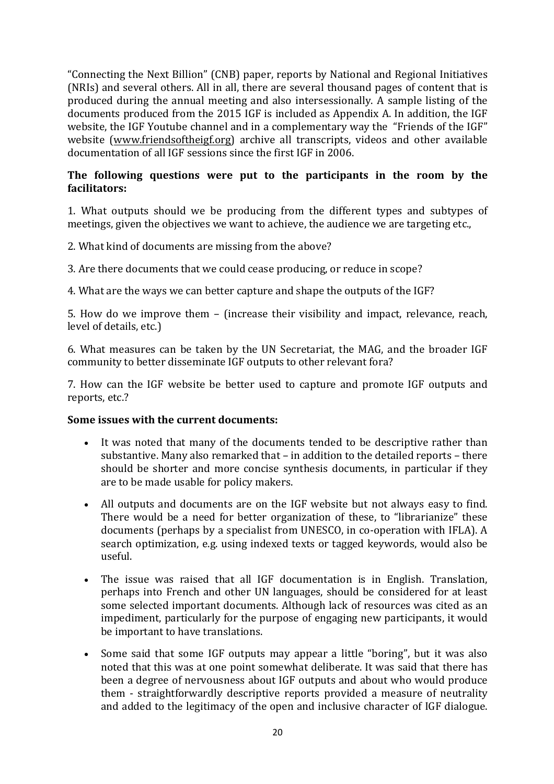"Connecting the Next Billion" (CNB) paper, reports by National and Regional Initiatives (NRIs) and several others. All in all, there are several thousand pages of content that is produced during the annual meeting and also intersessionally. A sample listing of the documents produced from the 2015 IGF is included as Appendix A. In addition, the IGF website, the IGF Youtube channel and in a complementary way the "Friends of the IGF" website (www.friendsoftheigf.org) archive all transcripts, videos and other available documentation of all IGF sessions since the first IGF in 2006.

### The following questions were put to the participants in the room by the **facilitators:**

1. What outputs should we be producing from the different types and subtypes of meetings, given the objectives we want to achieve, the audience we are targeting etc.,

2. What kind of documents are missing from the above?

3. Are there documents that we could cease producing, or reduce in scope?

4. What are the ways we can better capture and shape the outputs of the IGF?

5. How do we improve them – (increase their visibility and impact, relevance, reach, level of details, etc.)

6. What measures can be taken by the UN Secretariat, the MAG, and the broader IGF community to better disseminate IGF outputs to other relevant fora?

7. How can the IGF website be better used to capture and promote IGF outputs and reports, etc.?

### **Some issues with the current documents:**

- It was noted that many of the documents tended to be descriptive rather than substantive. Many also remarked that – in addition to the detailed reports – there should be shorter and more concise synthesis documents, in particular if they are to be made usable for policy makers.
- All outputs and documents are on the IGF website but not always easy to find. There would be a need for better organization of these, to "librarianize" these documents (perhaps by a specialist from UNESCO, in co-operation with IFLA). A search optimization, e.g. using indexed texts or tagged keywords, would also be useful.
- The issue was raised that all IGF documentation is in English. Translation, perhaps into French and other UN languages, should be considered for at least some selected important documents. Although lack of resources was cited as an impediment, particularly for the purpose of engaging new participants, it would be important to have translations.
- Some said that some IGF outputs may appear a little "boring", but it was also noted that this was at one point somewhat deliberate. It was said that there has been a degree of nervousness about IGF outputs and about who would produce them - straightforwardly descriptive reports provided a measure of neutrality and added to the legitimacy of the open and inclusive character of IGF dialogue.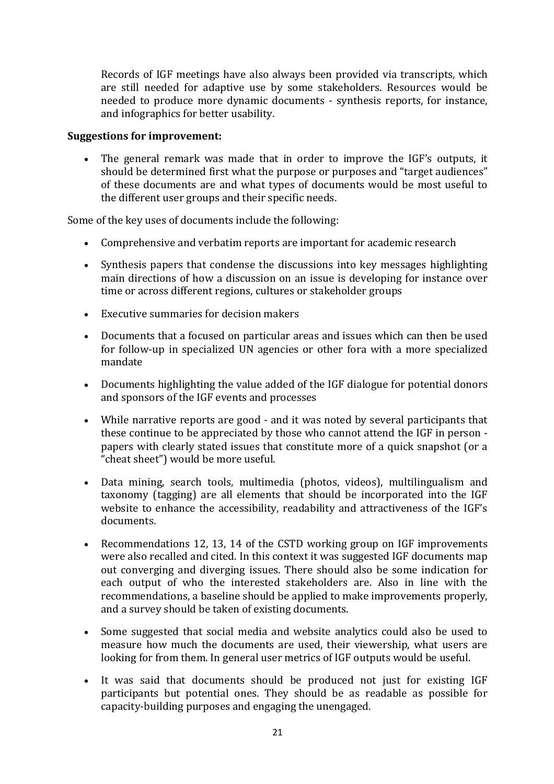Records of IGF meetings have also always been provided via transcripts, which are still needed for adaptive use by some stakeholders. Resources would be needed to produce more dynamic documents - synthesis reports, for instance, and infographics for better usability.

#### **Suggestions for improvement:**

The general remark was made that in order to improve the IGF's outputs, it should be determined first what the purpose or purposes and "target audiences" of these documents are and what types of documents would be most useful to the different user groups and their specific needs.

Some of the key uses of documents include the following:

- Comprehensive and verbatim reports are important for academic research
- Synthesis papers that condense the discussions into key messages highlighting main directions of how a discussion on an issue is developing for instance over time or across different regions, cultures or stakeholder groups
- Executive summaries for decision makers
- Documents that a focused on particular areas and issues which can then be used for follow-up in specialized UN agencies or other fora with a more specialized mandate
- Documents highlighting the value added of the IGF dialogue for potential donors and sponsors of the IGF events and processes
- While narrative reports are good and it was noted by several participants that these continue to be appreciated by those who cannot attend the IGF in person papers with clearly stated issues that constitute more of a quick snapshot (or a "cheat sheet") would be more useful.
- Data mining, search tools, multimedia (photos, videos), multilingualism and taxonomy (tagging) are all elements that should be incorporated into the IGF website to enhance the accessibility, readability and attractiveness of the IGF's documents.
- Recommendations 12, 13, 14 of the CSTD working group on IGF improvements were also recalled and cited. In this context it was suggested IGF documents map out converging and diverging issues. There should also be some indication for each output of who the interested stakeholders are. Also in line with the recommendations, a baseline should be applied to make improvements properly, and a survey should be taken of existing documents.
- Some suggested that social media and website analytics could also be used to measure how much the documents are used, their viewership, what users are looking for from them. In general user metrics of IGF outputs would be useful.
- It was said that documents should be produced not just for existing IGF participants but potential ones. They should be as readable as possible for capacity-building purposes and engaging the unengaged.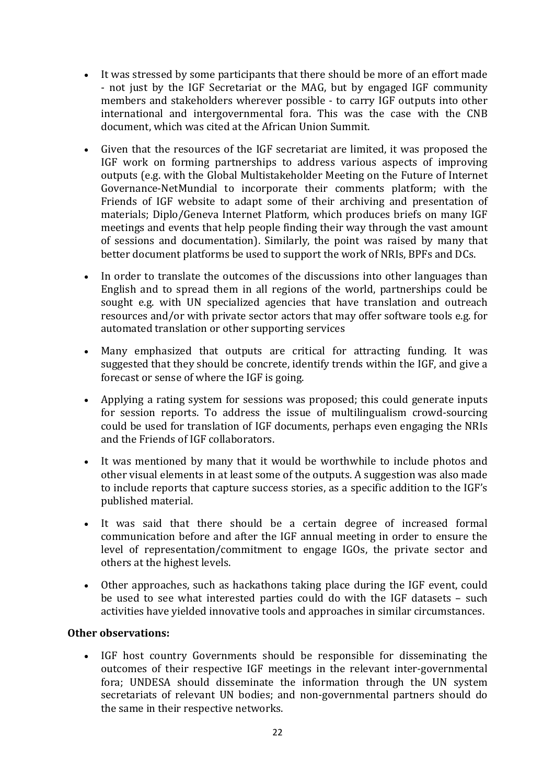- It was stressed by some participants that there should be more of an effort made - not just by the IGF Secretariat or the MAG, but by engaged IGF community members and stakeholders wherever possible - to carry IGF outputs into other international and intergovernmental fora. This was the case with the CNB document, which was cited at the African Union Summit.
- Given that the resources of the IGF secretariat are limited, it was proposed the IGF work on forming partnerships to address various aspects of improving outputs (e.g. with the Global Multistakeholder Meeting on the Future of Internet Governance-NetMundial to incorporate their comments platform; with the Friends of IGF website to adapt some of their archiving and presentation of materials; Diplo/Geneva Internet Platform, which produces briefs on many IGF meetings and events that help people finding their way through the vast amount of sessions and documentation). Similarly, the point was raised by many that better document platforms be used to support the work of NRIs, BPFs and DCs.
- In order to translate the outcomes of the discussions into other languages than English and to spread them in all regions of the world, partnerships could be sought e.g. with UN specialized agencies that have translation and outreach resources and/or with private sector actors that may offer software tools e.g. for automated translation or other supporting services
- Many emphasized that outputs are critical for attracting funding. It was suggested that they should be concrete, identify trends within the IGF, and give a forecast or sense of where the IGF is going.
- Applying a rating system for sessions was proposed; this could generate inputs for session reports. To address the issue of multilingualism crowd-sourcing could be used for translation of IGF documents, perhaps even engaging the NRIs and the Friends of IGF collaborators.
- It was mentioned by many that it would be worthwhile to include photos and other visual elements in at least some of the outputs. A suggestion was also made to include reports that capture success stories, as a specific addition to the IGF's published material.
- It was said that there should be a certain degree of increased formal communication before and after the IGF annual meeting in order to ensure the level of representation/commitment to engage IGOs, the private sector and others at the highest levels.
- Other approaches, such as hackathons taking place during the IGF event, could be used to see what interested parties could do with the IGF datasets - such activities have yielded innovative tools and approaches in similar circumstances.

### **Other observations:**

• IGF host country Governments should be responsible for disseminating the outcomes of their respective IGF meetings in the relevant inter-governmental fora; UNDESA should disseminate the information through the UN system secretariats of relevant UN bodies; and non-governmental partners should do the same in their respective networks.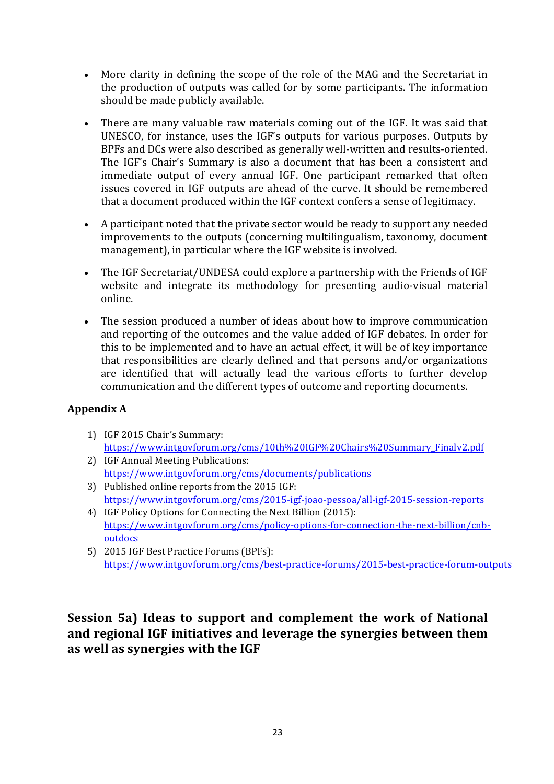- More clarity in defining the scope of the role of the MAG and the Secretariat in the production of outputs was called for by some participants. The information should be made publicly available.
- There are many valuable raw materials coming out of the IGF. It was said that UNESCO, for instance, uses the IGF's outputs for various purposes. Outputs by BPFs and DCs were also described as generally well-written and results-oriented. The IGF's Chair's Summary is also a document that has been a consistent and immediate output of every annual IGF. One participant remarked that often issues covered in IGF outputs are ahead of the curve. It should be remembered that a document produced within the IGF context confers a sense of legitimacy.
- A participant noted that the private sector would be ready to support any needed improvements to the outputs (concerning multilingualism, taxonomy, document management), in particular where the IGF website is involved.
- The IGF Secretariat/UNDESA could explore a partnership with the Friends of IGF website and integrate its methodology for presenting audio-visual material online.
- The session produced a number of ideas about how to improve communication and reporting of the outcomes and the value added of IGF debates. In order for this to be implemented and to have an actual effect, it will be of key importance that responsibilities are clearly defined and that persons and/or organizations are identified that will actually lead the various efforts to further develop communication and the different types of outcome and reporting documents.

## **Appendix A**

- 1) IGF 2015 Chair's Summary: https://www.intgovforum.org/cms/10th%20IGF%20Chairs%20Summary\_Finalv2.pdf
- 2) IGF Annual Meeting Publications: https://www.intgovforum.org/cms/documents/publications
- 3) Published online reports from the 2015 IGF: https://www.intgovforum.org/cms/2015-igf-joao-pessoa/all-igf-2015-session-reports
- 4) IGF Policy Options for Connecting the Next Billion (2015): https://www.intgovforum.org/cms/policy-options-for-connection-the-next-billion/cnboutdocs
- 5) 2015 IGF Best Practice Forums (BPFs): https://www.intgovforum.org/cms/best-practice-forums/2015-best-practice-forum-outputs

# **Session 5a) Ideas to support and complement the work of National** and regional IGF initiatives and leverage the synergies between them as well as synergies with the IGF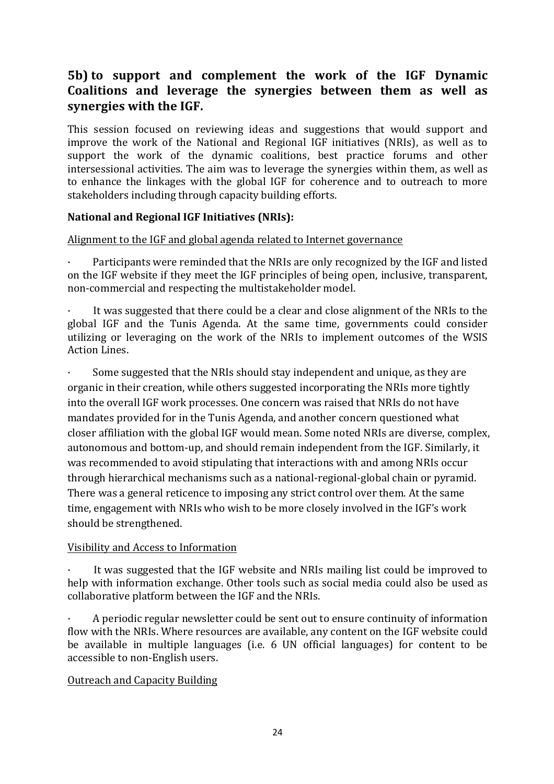# **5b)** to support and complement the work of the IGF Dynamic Coalitions and leverage the synergies between them as well as synergies with the IGF.

This session focused on reviewing ideas and suggestions that would support and improve the work of the National and Regional IGF initiatives (NRIs), as well as to support the work of the dynamic coalitions, best practice forums and other intersessional activities. The aim was to leverage the synergies within them, as well as to enhance the linkages with the global IGF for coherence and to outreach to more stakeholders including through capacity building efforts.

### **National and Regional IGF Initiatives (NRIs):**

### Alignment to the IGF and global agenda related to Internet governance

Participants were reminded that the NRIs are only recognized by the IGF and listed on the IGF website if they meet the IGF principles of being open, inclusive, transparent, non-commercial and respecting the multistakeholder model.

It was suggested that there could be a clear and close alignment of the NRIs to the global IGF and the Tunis Agenda. At the same time, governments could consider utilizing or leveraging on the work of the NRIs to implement outcomes of the WSIS **Action Lines.** 

Some suggested that the NRIs should stay independent and unique, as they are organic in their creation, while others suggested incorporating the NRIs more tightly into the overall IGF work processes. One concern was raised that NRIs do not have mandates provided for in the Tunis Agenda, and another concern questioned what closer affiliation with the global IGF would mean. Some noted NRIs are diverse, complex, autonomous and bottom-up, and should remain independent from the IGF. Similarly, it was recommended to avoid stipulating that interactions with and among NRIs occur through hierarchical mechanisms such as a national-regional-global chain or pyramid. There was a general reticence to imposing any strict control over them. At the same time, engagement with NRIs who wish to be more closely involved in the IGF's work should be strengthened.

### Visibility and Access to Information

It was suggested that the IGF website and NRIs mailing list could be improved to help with information exchange. Other tools such as social media could also be used as collaborative platform between the IGF and the NRIs.

A periodic regular newsletter could be sent out to ensure continuity of information flow with the NRIs. Where resources are available, any content on the IGF website could be available in multiple languages (i.e. 6 UN official languages) for content to be accessible to non-English users.

### Outreach and Capacity Building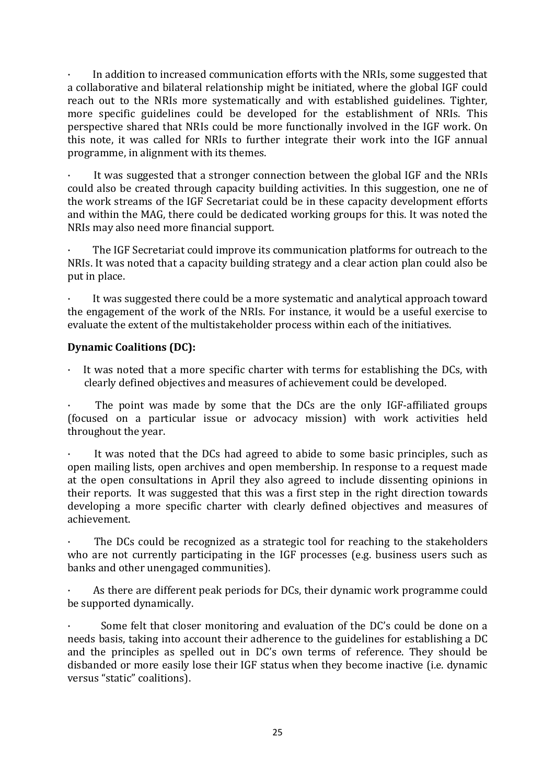In addition to increased communication efforts with the NRIs, some suggested that a collaborative and bilateral relationship might be initiated, where the global IGF could reach out to the NRIs more systematically and with established guidelines. Tighter, more specific guidelines could be developed for the establishment of NRIs. This perspective shared that NRIs could be more functionally involved in the IGF work. On this note, it was called for NRIs to further integrate their work into the IGF annual programme, in alignment with its themes.

It was suggested that a stronger connection between the global IGF and the NRIs could also be created through capacity building activities. In this suggestion, one ne of the work streams of the IGF Secretariat could be in these capacity development efforts and within the MAG, there could be dedicated working groups for this. It was noted the NRIs may also need more financial support.

The IGF Secretariat could improve its communication platforms for outreach to the NRIs. It was noted that a capacity building strategy and a clear action plan could also be put in place.

It was suggested there could be a more systematic and analytical approach toward the engagement of the work of the NRIs. For instance, it would be a useful exercise to evaluate the extent of the multistakeholder process within each of the initiatives.

### **Dynamic Coalitions (DC):**

It was noted that a more specific charter with terms for establishing the DCs, with clearly defined objectives and measures of achievement could be developed.

The point was made by some that the DCs are the only IGF-affiliated groups (focused on a particular issue or advocacy mission) with work activities held throughout the year.

It was noted that the DCs had agreed to abide to some basic principles, such as open mailing lists, open archives and open membership. In response to a request made at the open consultations in April they also agreed to include dissenting opinions in their reports. It was suggested that this was a first step in the right direction towards developing a more specific charter with clearly defined objectives and measures of achievement.

The DCs could be recognized as a strategic tool for reaching to the stakeholders who are not currently participating in the IGF processes (e.g. business users such as banks and other unengaged communities).

As there are different peak periods for DCs, their dynamic work programme could be supported dynamically.

Some felt that closer monitoring and evaluation of the DC's could be done on a needs basis, taking into account their adherence to the guidelines for establishing a DC and the principles as spelled out in DC's own terms of reference. They should be disbanded or more easily lose their IGF status when they become inactive (i.e. dynamic versus "static" coalitions).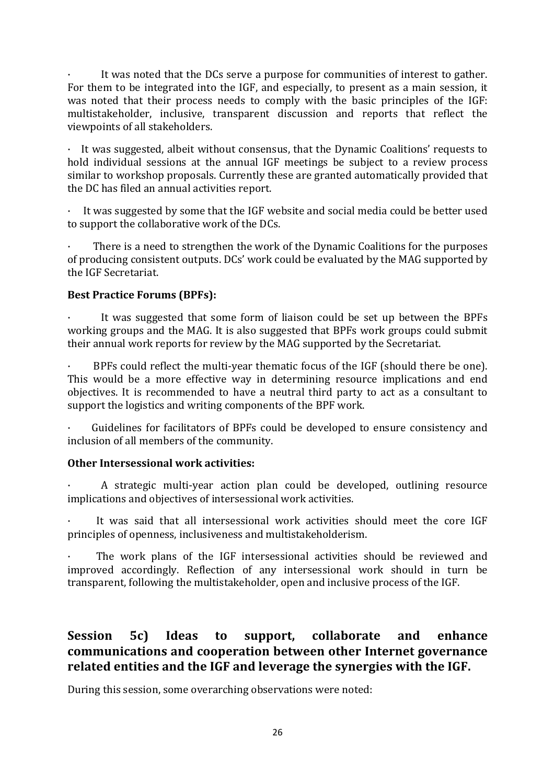It was noted that the DCs serve a purpose for communities of interest to gather. For them to be integrated into the IGF, and especially, to present as a main session, it was noted that their process needs to comply with the basic principles of the IGF: multistakeholder, inclusive, transparent discussion and reports that reflect the viewpoints of all stakeholders.

 $\cdot$  It was suggested, albeit without consensus, that the Dynamic Coalitions' requests to hold individual sessions at the annual IGF meetings be subject to a review process similar to workshop proposals. Currently these are granted automatically provided that the DC has filed an annual activities report.

 $\cdot$  It was suggested by some that the IGF website and social media could be better used to support the collaborative work of the DCs.

There is a need to strengthen the work of the Dynamic Coalitions for the purposes of producing consistent outputs. DCs' work could be evaluated by the MAG supported by the IGF Secretariat.

### **Best Practice Forums (BPFs):**

It was suggested that some form of liaison could be set up between the BPFs working groups and the MAG. It is also suggested that BPFs work groups could submit their annual work reports for review by the MAG supported by the Secretariat.

BPFs could reflect the multi-year thematic focus of the IGF (should there be one). This would be a more effective way in determining resource implications and end objectives. It is recommended to have a neutral third party to act as a consultant to support the logistics and writing components of the BPF work.

Guidelines for facilitators of BPFs could be developed to ensure consistency and inclusion of all members of the community.

### **Other Intersessional work activities:**

A strategic multi-year action plan could be developed, outlining resource implications and objectives of intersessional work activities.

It was said that all intersessional work activities should meet the core IGF principles of openness, inclusiveness and multistakeholderism.

The work plans of the IGF intersessional activities should be reviewed and improved accordingly. Reflection of any intersessional work should in turn be transparent, following the multistakeholder, open and inclusive process of the IGF.

# **Session** 5c) Ideas to support, collaborate and enhance communications and cooperation between other Internet governance related entities and the IGF and leverage the synergies with the IGF.

During this session, some overarching observations were noted: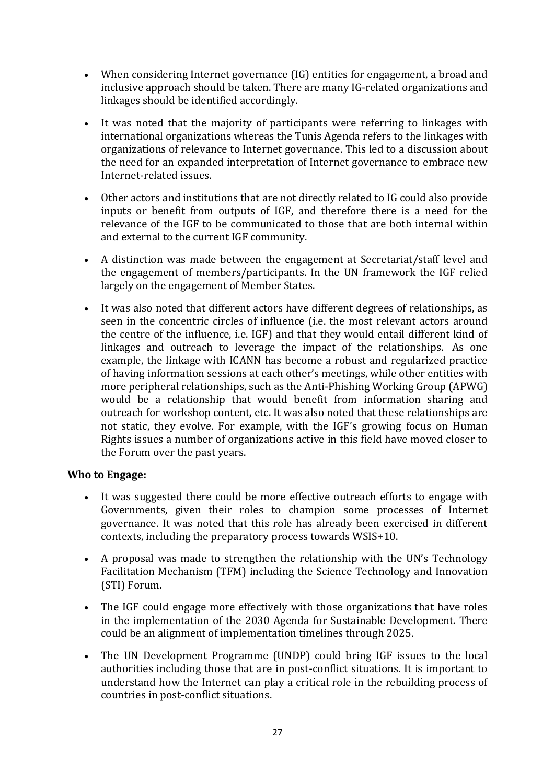- When considering Internet governance (IG) entities for engagement, a broad and inclusive approach should be taken. There are many IG-related organizations and linkages should be identified accordingly.
- It was noted that the majority of participants were referring to linkages with international organizations whereas the Tunis Agenda refers to the linkages with organizations of relevance to Internet governance. This led to a discussion about the need for an expanded interpretation of Internet governance to embrace new Internet-related issues.
- Other actors and institutions that are not directly related to IG could also provide inputs or benefit from outputs of IGF, and therefore there is a need for the relevance of the IGF to be communicated to those that are both internal within and external to the current IGF community.
- A distinction was made between the engagement at Secretariat/staff level and the engagement of members/participants. In the UN framework the IGF relied largely on the engagement of Member States.
- It was also noted that different actors have different degrees of relationships, as seen in the concentric circles of influence (i.e. the most relevant actors around the centre of the influence, i.e. IGF) and that they would entail different kind of linkages and outreach to leverage the impact of the relationships. As one example, the linkage with ICANN has become a robust and regularized practice of having information sessions at each other's meetings, while other entities with more peripheral relationships, such as the Anti-Phishing Working Group  $(APWG)$ would be a relationship that would benefit from information sharing and outreach for workshop content, etc. It was also noted that these relationships are not static, they evolve. For example, with the IGF's growing focus on Human Rights issues a number of organizations active in this field have moved closer to the Forum over the past years.

### **Who to Engage:**

- It was suggested there could be more effective outreach efforts to engage with Governments, given their roles to champion some processes of Internet governance. It was noted that this role has already been exercised in different  $\overline{\text{const}}$ , including the preparatory process towards WSIS+10.
- A proposal was made to strengthen the relationship with the UN's Technology Facilitation Mechanism (TFM) including the Science Technology and Innovation (STI) Forum.
- The IGF could engage more effectively with those organizations that have roles in the implementation of the 2030 Agenda for Sustainable Development. There could be an alignment of implementation timelines through 2025.
- The UN Development Programme (UNDP) could bring IGF issues to the local authorities including those that are in post-conflict situations. It is important to understand how the Internet can play a critical role in the rebuilding process of countries in post-conflict situations.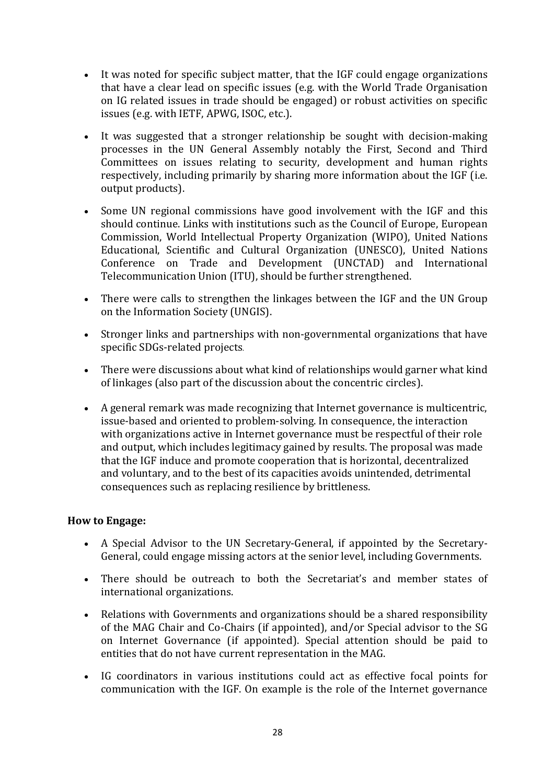- It was noted for specific subject matter, that the IGF could engage organizations that have a clear lead on specific issues (e.g. with the World Trade Organisation on IG related issues in trade should be engaged) or robust activities on specific issues (e.g. with IETF, APWG, ISOC, etc.).
- It was suggested that a stronger relationship be sought with decision-making processes in the UN General Assembly notably the First, Second and Third Committees on issues relating to security, development and human rights respectively, including primarily by sharing more information about the IGF (i.e. output products).
- Some UN regional commissions have good involvement with the IGF and this should continue. Links with institutions such as the Council of Europe, European Commission, World Intellectual Property Organization (WIPO), United Nations Educational, Scientific and Cultural Organization (UNESCO), United Nations Conference on Trade and Development (UNCTAD) and International Telecommunication Union (ITU), should be further strengthened.
- There were calls to strengthen the linkages between the IGF and the UN Group on the Information Society (UNGIS).
- Stronger links and partnerships with non-governmental organizations that have specific SDGs-related projects.
- There were discussions about what kind of relationships would garner what kind of linkages (also part of the discussion about the concentric circles).
- A general remark was made recognizing that Internet governance is multicentric, issue-based and oriented to problem-solving. In consequence, the interaction with organizations active in Internet governance must be respectful of their role and output, which includes legitimacy gained by results. The proposal was made that the IGF induce and promote cooperation that is horizontal, decentralized and voluntary, and to the best of its capacities avoids unintended, detrimental consequences such as replacing resilience by brittleness.

## **How** to Engage:

- A Special Advisor to the UN Secretary-General, if appointed by the Secretary-General, could engage missing actors at the senior level, including Governments.
- There should be outreach to both the Secretariat's and member states of international organizations.
- Relations with Governments and organizations should be a shared responsibility of the MAG Chair and Co-Chairs (if appointed), and/or Special advisor to the SG on Internet Governance (if appointed). Special attention should be paid to entities that do not have current representation in the MAG.
- IG coordinators in various institutions could act as effective focal points for communication with the IGF. On example is the role of the Internet governance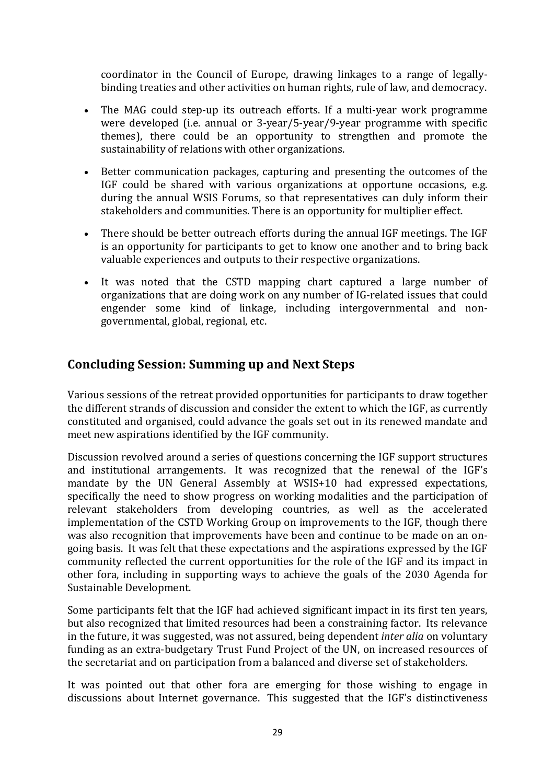coordinator in the Council of Europe, drawing linkages to a range of legallybinding treaties and other activities on human rights, rule of law, and democracy.

- The MAG could step-up its outreach efforts. If a multi-year work programme were developed (i.e. annual or  $3$ -year/5-year/9-year programme with specific themes), there could be an opportunity to strengthen and promote the sustainability of relations with other organizations.
- Better communication packages, capturing and presenting the outcomes of the IGF could be shared with various organizations at opportune occasions, e.g. during the annual WSIS Forums, so that representatives can duly inform their stakeholders and communities. There is an opportunity for multiplier effect.
- There should be better outreach efforts during the annual IGF meetings. The IGF is an opportunity for participants to get to know one another and to bring back valuable experiences and outputs to their respective organizations.
- It was noted that the CSTD mapping chart captured a large number of organizations that are doing work on any number of IG-related issues that could engender some kind of linkage, including intergovernmental and nongovernmental, global, regional, etc.

# **Concluding Session: Summing up and Next Steps**

Various sessions of the retreat provided opportunities for participants to draw together the different strands of discussion and consider the extent to which the IGF, as currently constituted and organised, could advance the goals set out in its renewed mandate and meet new aspirations identified by the IGF community.

Discussion revolved around a series of questions concerning the IGF support structures and institutional arrangements. It was recognized that the renewal of the IGF's mandate by the UN General Assembly at WSIS+10 had expressed expectations, specifically the need to show progress on working modalities and the participation of relevant stakeholders from developing countries, as well as the accelerated implementation of the CSTD Working Group on improvements to the IGF, though there was also recognition that improvements have been and continue to be made on an ongoing basis. It was felt that these expectations and the aspirations expressed by the IGF community reflected the current opportunities for the role of the IGF and its impact in other fora, including in supporting ways to achieve the goals of the 2030 Agenda for Sustainable Development.

Some participants felt that the IGF had achieved significant impact in its first ten years, but also recognized that limited resources had been a constraining factor. Its relevance in the future, it was suggested, was not assured, being dependent *inter alia* on voluntary funding as an extra-budgetary Trust Fund Project of the UN, on increased resources of the secretariat and on participation from a balanced and diverse set of stakeholders.

It was pointed out that other fora are emerging for those wishing to engage in discussions about Internet governance. This suggested that the IGF's distinctiveness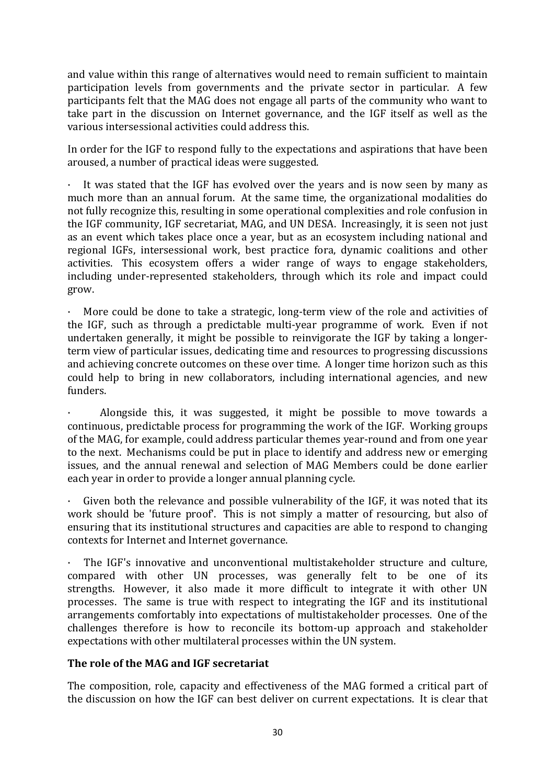and value within this range of alternatives would need to remain sufficient to maintain participation levels from governments and the private sector in particular. A few participants felt that the MAG does not engage all parts of the community who want to take part in the discussion on Internet governance, and the IGF itself as well as the various intersessional activities could address this.

In order for the IGF to respond fully to the expectations and aspirations that have been aroused, a number of practical ideas were suggested.

 $\cdot$  It was stated that the IGF has evolved over the years and is now seen by many as much more than an annual forum. At the same time, the organizational modalities do not fully recognize this, resulting in some operational complexities and role confusion in the IGF community, IGF secretariat, MAG, and UN DESA. Increasingly, it is seen not just as an event which takes place once a year, but as an ecosystem including national and regional IGFs, intersessional work, best practice fora, dynamic coalitions and other activities. This ecosystem offers a wider range of ways to engage stakeholders, including under-represented stakeholders, through which its role and impact could grow.

More could be done to take a strategic, long-term view of the role and activities of the IGF, such as through a predictable multi-year programme of work. Even if not undertaken generally, it might be possible to reinvigorate the IGF by taking a longerterm view of particular issues, dedicating time and resources to progressing discussions and achieving concrete outcomes on these over time. A longer time horizon such as this could help to bring in new collaborators, including international agencies, and new funders.

Alongside this, it was suggested, it might be possible to move towards a continuous, predictable process for programming the work of the IGF. Working groups of the MAG, for example, could address particular themes year-round and from one year to the next. Mechanisms could be put in place to identify and address new or emerging issues, and the annual renewal and selection of MAG Members could be done earlier each year in order to provide a longer annual planning cycle.

Given both the relevance and possible vulnerability of the IGF, it was noted that its work should be 'future proof'. This is not simply a matter of resourcing, but also of ensuring that its institutional structures and capacities are able to respond to changing contexts for Internet and Internet governance.

The IGF's innovative and unconventional multistakeholder structure and culture, compared with other UN processes, was generally felt to be one of its strengths. However, it also made it more difficult to integrate it with other UN processes. The same is true with respect to integrating the IGF and its institutional arrangements comfortably into expectations of multistakeholder processes. One of the challenges therefore is how to reconcile its bottom-up approach and stakeholder expectations with other multilateral processes within the UN system.

## The role of the MAG and IGF secretariat

The composition, role, capacity and effectiveness of the MAG formed a critical part of the discussion on how the IGF can best deliver on current expectations. It is clear that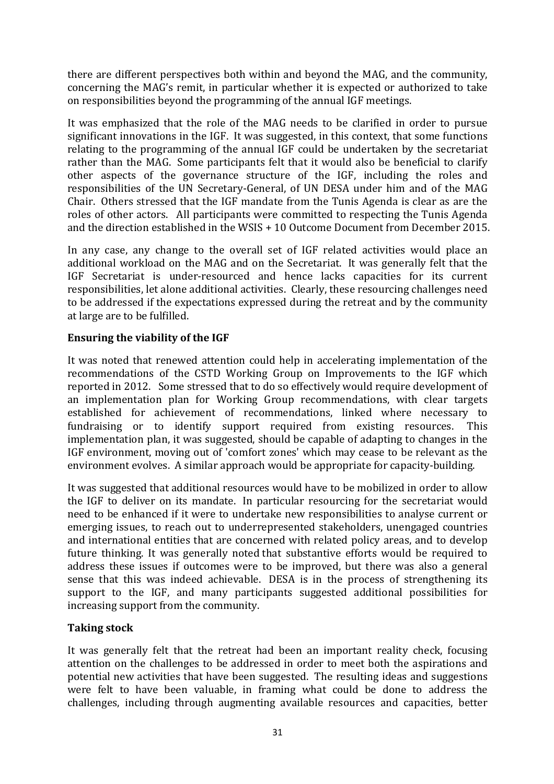there are different perspectives both within and beyond the MAG, and the community, concerning the MAG's remit, in particular whether it is expected or authorized to take on responsibilities beyond the programming of the annual IGF meetings.

It was emphasized that the role of the MAG needs to be clarified in order to pursue significant innovations in the IGF. It was suggested, in this context, that some functions relating to the programming of the annual IGF could be undertaken by the secretariat rather than the MAG. Some participants felt that it would also be beneficial to clarify other aspects of the governance structure of the IGF, including the roles and responsibilities of the UN Secretary-General, of UN DESA under him and of the MAG Chair. Others stressed that the IGF mandate from the Tunis Agenda is clear as are the roles of other actors. All participants were committed to respecting the Tunis Agenda and the direction established in the WSIS  $+10$  Outcome Document from December 2015.

In any case, any change to the overall set of IGF related activities would place an additional workload on the MAG and on the Secretariat. It was generally felt that the IGF Secretariat is under-resourced and hence lacks capacities for its current responsibilities, let alone additional activities. Clearly, these resourcing challenges need to be addressed if the expectations expressed during the retreat and by the community at large are to be fulfilled.

### **Ensuring the viability of the IGF**

It was noted that renewed attention could help in accelerating implementation of the recommendations of the CSTD Working Group on Improvements to the IGF which reported in 2012. Some stressed that to do so effectively would require development of an implementation plan for Working Group recommendations, with clear targets established for achievement of recommendations, linked where necessary to fundraising or to identify support required from existing resources. This implementation plan, it was suggested, should be capable of adapting to changes in the IGF environment, moving out of 'comfort zones' which may cease to be relevant as the environment evolves. A similar approach would be appropriate for capacity-building.

It was suggested that additional resources would have to be mobilized in order to allow the IGF to deliver on its mandate. In particular resourcing for the secretariat would need to be enhanced if it were to undertake new responsibilities to analyse current or emerging issues, to reach out to underrepresented stakeholders, unengaged countries and international entities that are concerned with related policy areas, and to develop future thinking. It was generally noted that substantive efforts would be required to address these issues if outcomes were to be improved, but there was also a general sense that this was indeed achievable. DESA is in the process of strengthening its support to the IGF, and many participants suggested additional possibilities for increasing support from the community.

### **Taking stock**

It was generally felt that the retreat had been an important reality check, focusing attention on the challenges to be addressed in order to meet both the aspirations and potential new activities that have been suggested. The resulting ideas and suggestions were felt to have been valuable, in framing what could be done to address the challenges, including through augmenting available resources and capacities, better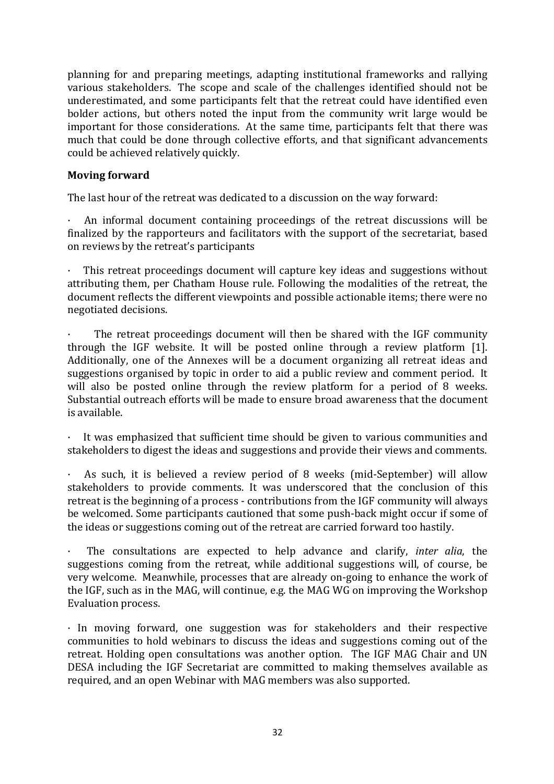planning for and preparing meetings, adapting institutional frameworks and rallying various stakeholders. The scope and scale of the challenges identified should not be underestimated, and some participants felt that the retreat could have identified even bolder actions, but others noted the input from the community writ large would be important for those considerations. At the same time, participants felt that there was much that could be done through collective efforts, and that significant advancements could be achieved relatively quickly.

#### **Moving forward**

The last hour of the retreat was dedicated to a discussion on the way forward:

An informal document containing proceedings of the retreat discussions will be finalized by the rapporteurs and facilitators with the support of the secretariat, based on reviews by the retreat's participants

This retreat proceedings document will capture key ideas and suggestions without attributing them, per Chatham House rule. Following the modalities of the retreat, the document reflects the different viewpoints and possible actionable items; there were no negotiated decisions.

The retreat proceedings document will then be shared with the IGF community through the  $IGF$  website. It will be posted online through a review platform  $[1]$ . Additionally, one of the Annexes will be a document organizing all retreat ideas and suggestions organised by topic in order to aid a public review and comment period. It will also be posted online through the review platform for a period of 8 weeks. Substantial outreach efforts will be made to ensure broad awareness that the document is available.

It was emphasized that sufficient time should be given to various communities and stakeholders to digest the ideas and suggestions and provide their views and comments.

As such, it is believed a review period of 8 weeks (mid-September) will allow stakeholders to provide comments. It was underscored that the conclusion of this retreat is the beginning of a process - contributions from the IGF community will always be welcomed. Some participants cautioned that some push-back might occur if some of the ideas or suggestions coming out of the retreat are carried forward too hastily.

· The consultations are expected to help advance and clarify, *inter alia*, the suggestions coming from the retreat, while additional suggestions will, of course, be very welcome. Meanwhile, processes that are already on-going to enhance the work of the  $IGF$ , such as in the MAG, will continue, e.g. the MAG WG on improving the Workshop Evaluation process.

 $\cdot$  In moving forward, one suggestion was for stakeholders and their respective communities to hold webinars to discuss the ideas and suggestions coming out of the retreat. Holding open consultations was another option. The IGF MAG Chair and UN DESA including the IGF Secretariat are committed to making themselves available as required, and an open Webinar with MAG members was also supported.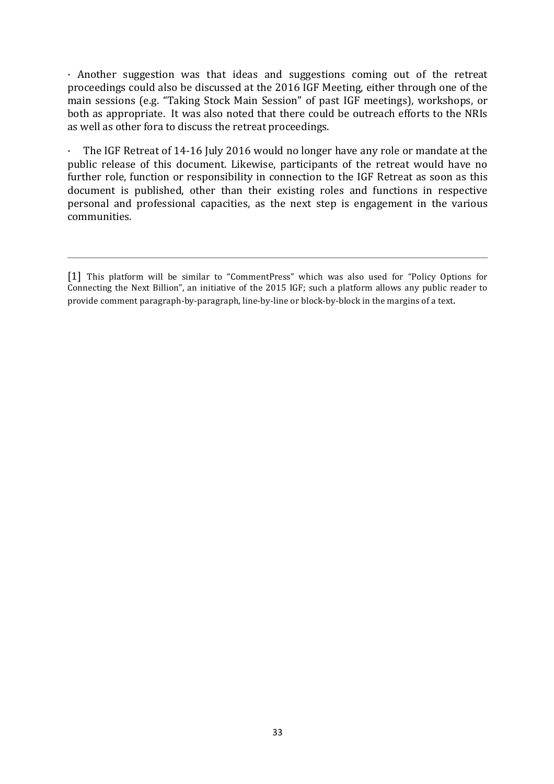$\cdot$  Another suggestion was that ideas and suggestions coming out of the retreat proceedings could also be discussed at the 2016 IGF Meeting, either through one of the main sessions (e.g. "Taking Stock Main Session" of past IGF meetings), workshops, or both as appropriate. It was also noted that there could be outreach efforts to the NRIs as well as other fora to discuss the retreat proceedings.

 $\cdot$  The IGF Retreat of 14-16 July 2016 would no longer have any role or mandate at the public release of this document. Likewise, participants of the retreat would have no further role, function or responsibility in connection to the IGF Retreat as soon as this document is published, other than their existing roles and functions in respective personal and professional capacities, as the next step is engagement in the various communities.

<sup>[1]</sup> This platform will be similar to "CommentPress" which was also used for "Policy Options for Connecting the Next Billion", an initiative of the 2015 IGF; such a platform allows any public reader to provide comment paragraph-by-paragraph, line-by-line or block-by-block in the margins of a text.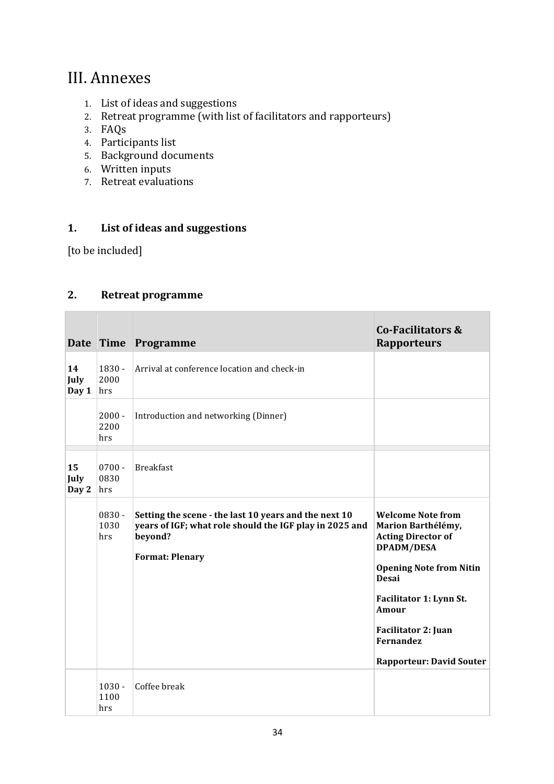# III. Annexes

- 1. List of ideas and suggestions
- 2. Retreat programme (with list of facilitators and rapporteurs)
- 3. FAQs
- 4. Participants list
- 5. Background documents
- 6. Written inputs
- 7. Retreat evaluations

### 1. List of ideas and suggestions

[to be included]

r.

# **2.** Retreat programme

|                     |                         | Date Time Programme                                                                                                                                   | <b>Co-Facilitators &amp;</b><br><b>Rapporteurs</b>                                                                                                                                                                                                            |
|---------------------|-------------------------|-------------------------------------------------------------------------------------------------------------------------------------------------------|---------------------------------------------------------------------------------------------------------------------------------------------------------------------------------------------------------------------------------------------------------------|
| 14<br>July<br>Day 1 | 1830 -<br>2000<br>hrs   | Arrival at conference location and check-in                                                                                                           |                                                                                                                                                                                                                                                               |
|                     | $2000 -$<br>2200<br>hrs | Introduction and networking (Dinner)                                                                                                                  |                                                                                                                                                                                                                                                               |
| 15<br>July<br>Day 2 | $0700 -$<br>0830<br>hrs | <b>Breakfast</b>                                                                                                                                      |                                                                                                                                                                                                                                                               |
|                     | $0830 -$<br>1030<br>hrs | Setting the scene - the last 10 years and the next 10<br>years of IGF; what role should the IGF play in 2025 and<br>beyond?<br><b>Format: Plenary</b> | <b>Welcome Note from</b><br>Marion Barthélémy,<br><b>Acting Director of</b><br><b>DPADM/DESA</b><br><b>Opening Note from Nitin</b><br>Desai<br>Facilitator 1: Lynn St.<br>Amour<br>Facilitator 2: Juan<br><b>Fernandez</b><br><b>Rapporteur: David Souter</b> |
|                     | $1030 -$<br>1100<br>hrs | Coffee break                                                                                                                                          |                                                                                                                                                                                                                                                               |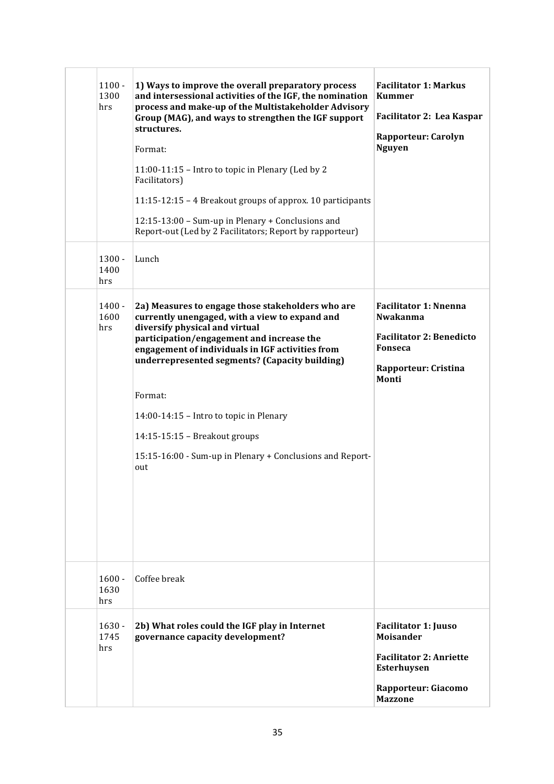| $1100 -$<br>1300<br>hrs | 1) Ways to improve the overall preparatory process<br>and intersessional activities of the IGF, the nomination<br>process and make-up of the Multistakeholder Advisory<br>Group (MAG), and ways to strengthen the IGF support<br>structures. | <b>Facilitator 1: Markus</b><br><b>Kummer</b><br>Facilitator 2: Lea Kaspar                              |
|-------------------------|----------------------------------------------------------------------------------------------------------------------------------------------------------------------------------------------------------------------------------------------|---------------------------------------------------------------------------------------------------------|
|                         | Format:<br>11:00-11:15 - Intro to topic in Plenary (Led by 2<br>Facilitators)<br>11:15-12:15 - 4 Breakout groups of approx. 10 participants                                                                                                  | <b>Rapporteur: Carolyn</b><br><b>Nguyen</b>                                                             |
|                         | 12:15-13:00 - Sum-up in Plenary + Conclusions and<br>Report-out (Led by 2 Facilitators; Report by rapporteur)                                                                                                                                |                                                                                                         |
| $1300 -$<br>1400<br>hrs | Lunch                                                                                                                                                                                                                                        |                                                                                                         |
| $1400 -$<br>1600<br>hrs | 2a) Measures to engage those stakeholders who are<br>currently unengaged, with a view to expand and<br>diversify physical and virtual                                                                                                        | <b>Facilitator 1: Nnenna</b><br><b>Nwakanma</b><br><b>Facilitator 2: Benedicto</b>                      |
|                         | participation/engagement and increase the<br>engagement of individuals in IGF activities from<br>underrepresented segments? (Capacity building)                                                                                              | Fonseca<br><b>Rapporteur: Cristina</b><br>Monti                                                         |
|                         | Format:                                                                                                                                                                                                                                      |                                                                                                         |
|                         | 14:00-14:15 - Intro to topic in Plenary<br>14:15-15:15 - Breakout groups                                                                                                                                                                     |                                                                                                         |
|                         | 15:15-16:00 - Sum-up in Plenary + Conclusions and Report-<br>out                                                                                                                                                                             |                                                                                                         |
| $1600 -$<br>1630<br>hrs | Coffee break                                                                                                                                                                                                                                 |                                                                                                         |
| $1630 -$<br>1745<br>hrs | 2b) What roles could the IGF play in Internet<br>governance capacity development?                                                                                                                                                            | <b>Facilitator 1: Juuso</b><br><b>Moisander</b><br><b>Facilitator 2: Anriette</b><br><b>Esterhuysen</b> |
|                         |                                                                                                                                                                                                                                              | Rapporteur: Giacomo<br><b>Mazzone</b>                                                                   |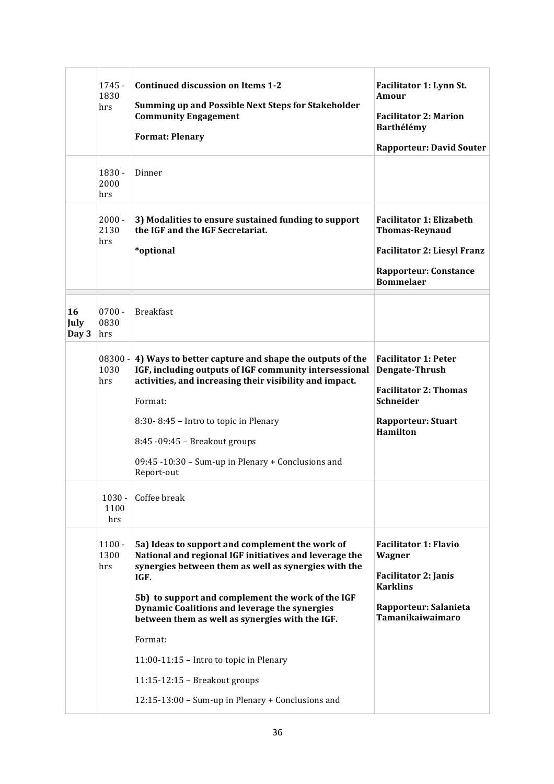| $1745 -$<br>1830<br>hrs  | <b>Continued discussion on Items 1-2</b><br>Summing up and Possible Next Steps for Stakeholder<br><b>Community Engagement</b><br><b>Format: Plenary</b>                                                                                                                                                                                                                                                                     | Facilitator 1: Lynn St.<br>Amour<br><b>Facilitator 2: Marion</b><br>Barthélémy<br><b>Rapporteur: David Souter</b>                                  |
|--------------------------|-----------------------------------------------------------------------------------------------------------------------------------------------------------------------------------------------------------------------------------------------------------------------------------------------------------------------------------------------------------------------------------------------------------------------------|----------------------------------------------------------------------------------------------------------------------------------------------------|
| $1830 -$<br>2000<br>hrs  | Dinner                                                                                                                                                                                                                                                                                                                                                                                                                      |                                                                                                                                                    |
| $2000 -$<br>2130<br>hrs  | 3) Modalities to ensure sustained funding to support<br>the IGF and the IGF Secretariat.<br>*optional                                                                                                                                                                                                                                                                                                                       | <b>Facilitator 1: Elizabeth</b><br><b>Thomas-Reynaud</b><br><b>Facilitator 2: Liesyl Franz</b><br><b>Rapporteur: Constance</b><br><b>Bommelaer</b> |
| $0700 -$<br>0830<br>hrs  | <b>Breakfast</b>                                                                                                                                                                                                                                                                                                                                                                                                            |                                                                                                                                                    |
| $08300 -$<br>1030<br>hrs | 4) Ways to better capture and shape the outputs of the<br>IGF, including outputs of IGF community intersessional<br>activities, and increasing their visibility and impact.<br>Format:<br>8:30-8:45 - Intro to topic in Plenary<br>8:45 -09:45 - Breakout groups<br>09:45 -10:30 - Sum-up in Plenary + Conclusions and                                                                                                      | <b>Facilitator 1: Peter</b><br>Dengate-Thrush<br><b>Facilitator 2: Thomas</b><br>Schneider<br><b>Rapporteur: Stuart</b><br><b>Hamilton</b>         |
| $1030 -$<br>1100<br>hrs  | Coffee break                                                                                                                                                                                                                                                                                                                                                                                                                |                                                                                                                                                    |
| $1100 -$<br>1300<br>hrs  | 5a) Ideas to support and complement the work of<br>National and regional IGF initiatives and leverage the<br>synergies between them as well as synergies with the<br>IGF.<br>5b) to support and complement the work of the IGF<br>Dynamic Coalitions and leverage the synergies<br>between them as well as synergies with the IGF.<br>Format:<br>11:00-11:15 - Intro to topic in Plenary<br>$11:15-12:15$ – Breakout groups | <b>Facilitator 1: Flavio</b><br>Wagner<br><b>Facilitator 2: Janis</b><br><b>Karklins</b><br>Rapporteur: Salanieta<br>Tamanikaiwaimaro              |
|                          |                                                                                                                                                                                                                                                                                                                                                                                                                             | Report-out                                                                                                                                         |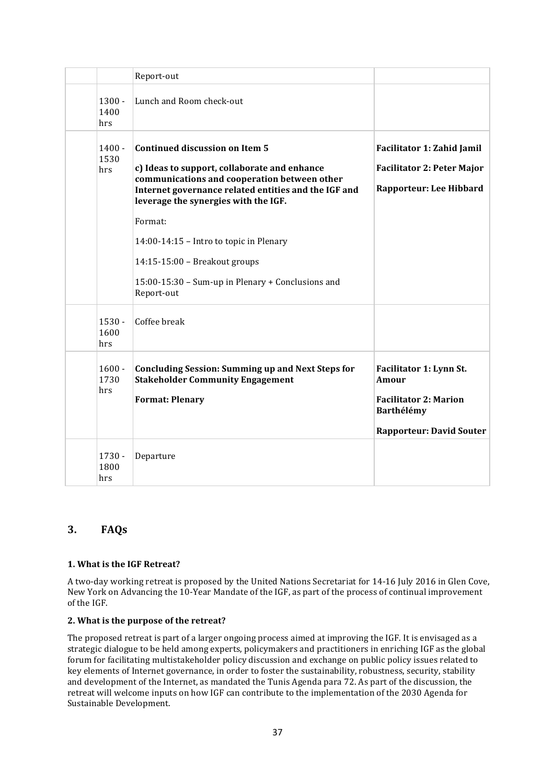|                         | Report-out                                                                                                                                                                                                                            |                                                                                                                   |
|-------------------------|---------------------------------------------------------------------------------------------------------------------------------------------------------------------------------------------------------------------------------------|-------------------------------------------------------------------------------------------------------------------|
| $1300 -$<br>1400<br>hrs | Lunch and Room check-out                                                                                                                                                                                                              |                                                                                                                   |
| $1400 -$<br>1530<br>hrs | <b>Continued discussion on Item 5</b><br>c) Ideas to support, collaborate and enhance<br>communications and cooperation between other<br>Internet governance related entities and the IGF and<br>leverage the synergies with the IGF. | Facilitator 1: Zahid Jamil<br><b>Facilitator 2: Peter Major</b><br>Rapporteur: Lee Hibbard                        |
|                         | Format:<br>14:00-14:15 - Intro to topic in Plenary<br>14:15-15:00 - Breakout groups<br>15:00-15:30 - Sum-up in Plenary + Conclusions and<br>Report-out                                                                                |                                                                                                                   |
| $1530 -$<br>1600<br>hrs | Coffee break                                                                                                                                                                                                                          |                                                                                                                   |
| $1600 -$<br>1730<br>hrs | <b>Concluding Session: Summing up and Next Steps for</b><br><b>Stakeholder Community Engagement</b><br><b>Format: Plenary</b>                                                                                                         | Facilitator 1: Lynn St.<br>Amour<br><b>Facilitator 2: Marion</b><br>Barthélémy<br><b>Rapporteur: David Souter</b> |
| $1730 -$<br>1800<br>hrs | Departure                                                                                                                                                                                                                             |                                                                                                                   |

### **3. FAQs**

#### **1. What is the IGF Retreat?**

A two-day working retreat is proposed by the United Nations Secretariat for 14-16 July 2016 in Glen Cove, New York on Advancing the 10-Year Mandate of the IGF, as part of the process of continual improvement of the IGF.

#### **2.** What is the purpose of the retreat?

The proposed retreat is part of a larger ongoing process aimed at improving the IGF. It is envisaged as a strategic dialogue to be held among experts, policymakers and practitioners in enriching IGF as the global forum for facilitating multistakeholder policy discussion and exchange on public policy issues related to key elements of Internet governance, in order to foster the sustainability, robustness, security, stability and development of the Internet, as mandated the Tunis Agenda para 72. As part of the discussion, the retreat will welcome inputs on how IGF can contribute to the implementation of the 2030 Agenda for Sustainable Development.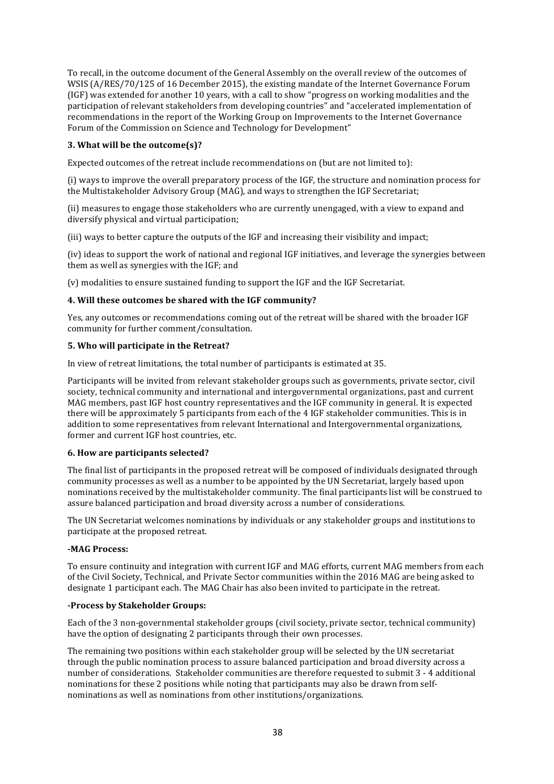To recall, in the outcome document of the General Assembly on the overall review of the outcomes of WSIS  $(A/RES/70/125$  of 16 December 2015), the existing mandate of the Internet Governance Forum (IGF) was extended for another 10 years, with a call to show "progress on working modalities and the participation of relevant stakeholders from developing countries" and "accelerated implementation of recommendations in the report of the Working Group on Improvements to the Internet Governance Forum of the Commission on Science and Technology for Development"

#### **3.** What will be the outcome(s)?

Expected outcomes of the retreat include recommendations on (but are not limited to):

(i) ways to improve the overall preparatory process of the IGF, the structure and nomination process for the Multistakeholder Advisory Group (MAG), and ways to strengthen the IGF Secretariat;

(ii) measures to engage those stakeholders who are currently unengaged, with a view to expand and diversify physical and virtual participation;

(iii) ways to better capture the outputs of the IGF and increasing their visibility and impact;

(iv) ideas to support the work of national and regional IGF initiatives, and leverage the synergies between them as well as synergies with the IGF; and

(v) modalities to ensure sustained funding to support the IGF and the IGF Secretariat.

#### **4.** Will these outcomes be shared with the IGF community?

Yes, any outcomes or recommendations coming out of the retreat will be shared with the broader IGF community for further comment/consultation.

#### **5. Who will participate in the Retreat?**

In view of retreat limitations, the total number of participants is estimated at 35.

Participants will be invited from relevant stakeholder groups such as governments, private sector, civil society, technical community and international and intergovernmental organizations, past and current MAG members, past IGF host country representatives and the IGF community in general. It is expected there will be approximately 5 participants from each of the 4 IGF stakeholder communities. This is in addition to some representatives from relevant International and Intergovernmental organizations, former and current IGF host countries, etc.

#### **6.** How are participants selected?

The final list of participants in the proposed retreat will be composed of individuals designated through community processes as well as a number to be appointed by the UN Secretariat, largely based upon nominations received by the multistakeholder community. The final participants list will be construed to assure balanced participation and broad diversity across a number of considerations.

The UN Secretariat welcomes nominations by individuals or any stakeholder groups and institutions to participate at the proposed retreat.

#### **-MAG Process:**

To ensure continuity and integration with current IGF and MAG efforts, current MAG members from each of the Civil Society, Technical, and Private Sector communities within the 2016 MAG are being asked to designate 1 participant each. The MAG Chair has also been invited to participate in the retreat.

#### **-Process by Stakeholder Groups:**

Each of the 3 non-governmental stakeholder groups (civil society, private sector, technical community) have the option of designating 2 participants through their own processes.

The remaining two positions within each stakeholder group will be selected by the UN secretariat through the public nomination process to assure balanced participation and broad diversity across a number of considerations. Stakeholder communities are therefore requested to submit 3 - 4 additional nominations for these 2 positions while noting that participants may also be drawn from selfnominations as well as nominations from other institutions/organizations.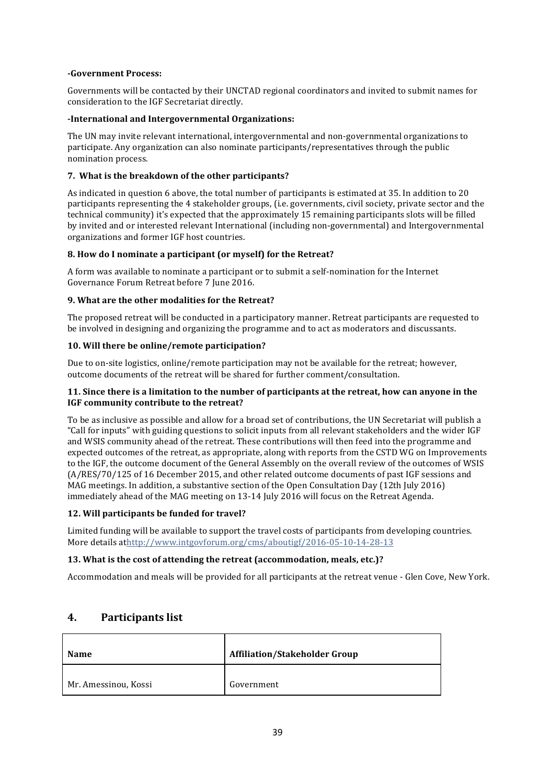#### **-Government Process:**

Governments will be contacted by their UNCTAD regional coordinators and invited to submit names for consideration to the IGF Secretariat directly.

#### **-International and Intergovernmental Organizations:**

The UN may invite relevant international, intergovernmental and non-governmental organizations to participate. Any organization can also nominate participants/representatives through the public nomination process.

#### **7.** What is the breakdown of the other participants?

As indicated in question 6 above, the total number of participants is estimated at 35. In addition to 20 participants representing the 4 stakeholder groups, (i.e. governments, civil society, private sector and the technical community) it's expected that the approximately 15 remaining participants slots will be filled by invited and or interested relevant International (including non-governmental) and Intergovernmental organizations and former IGF host countries.

#### **8.** How do I nominate a participant (or myself) for the Retreat?

A form was available to nominate a participant or to submit a self-nomination for the Internet Governance Forum Retreat before 7 June 2016. 

#### **9.** What are the other modalities for the Retreat?

The proposed retreat will be conducted in a participatory manner. Retreat participants are requested to be involved in designing and organizing the programme and to act as moderators and discussants.

#### 10. Will there be online/remote participation?

Due to on-site logistics, online/remote participation may not be available for the retreat; however, outcome documents of the retreat will be shared for further comment/consultation.

#### **11.** Since there is a limitation to the number of participants at the retreat, how can anyone in the **IGF** community contribute to the retreat?

To be as inclusive as possible and allow for a broad set of contributions, the UN Secretariat will publish a "Call for inputs" with guiding questions to solicit inputs from all relevant stakeholders and the wider IGF and WSIS community ahead of the retreat. These contributions will then feed into the programme and expected outcomes of the retreat, as appropriate, along with reports from the CSTD WG on Improvements to the IGF, the outcome document of the General Assembly on the overall review of the outcomes of WSIS (A/RES/70/125 of 16 December 2015, and other related outcome documents of past IGF sessions and MAG meetings. In addition, a substantive section of the Open Consultation Day (12th July 2016) immediately ahead of the MAG meeting on 13-14 July 2016 will focus on the Retreat Agenda.

#### **12. Will participants be funded for travel?**

Limited funding will be available to support the travel costs of participants from developing countries. More details athttp://www.intgovforum.org/cms/aboutigf/2016-05-10-14-28-13

#### **13.** What is the cost of attending the retreat (accommodation, meals, etc.)?

Accommodation and meals will be provided for all participants at the retreat venue - Glen Cove, New York.

#### **4. Participants list**

| <b>Name</b>          | <b>Affiliation/Stakeholder Group</b> |  |
|----------------------|--------------------------------------|--|
| Mr. Amessinou, Kossi | Government                           |  |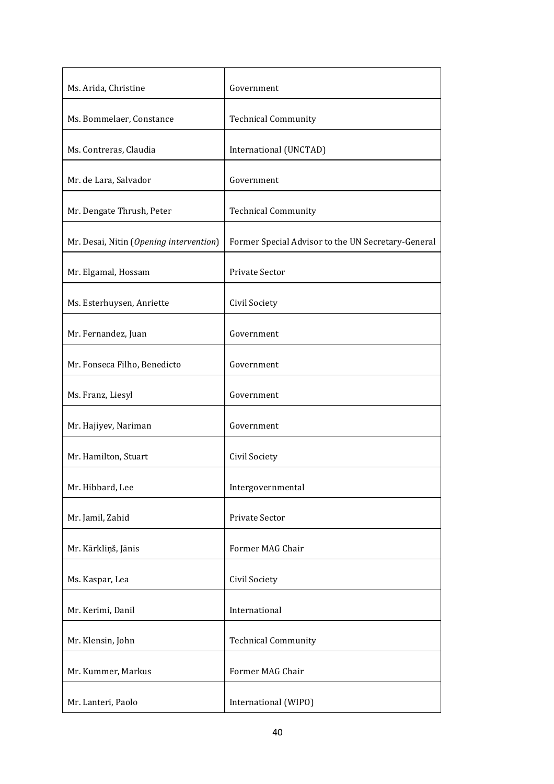| Ms. Arida, Christine                    | Government                                         |
|-----------------------------------------|----------------------------------------------------|
| Ms. Bommelaer, Constance                | <b>Technical Community</b>                         |
| Ms. Contreras, Claudia                  | International (UNCTAD)                             |
| Mr. de Lara, Salvador                   | Government                                         |
| Mr. Dengate Thrush, Peter               | <b>Technical Community</b>                         |
| Mr. Desai, Nitin (Opening intervention) | Former Special Advisor to the UN Secretary-General |
| Mr. Elgamal, Hossam                     | <b>Private Sector</b>                              |
| Ms. Esterhuysen, Anriette               | Civil Society                                      |
| Mr. Fernandez, Juan                     | Government                                         |
| Mr. Fonseca Filho, Benedicto            | Government                                         |
| Ms. Franz, Liesyl                       | Government                                         |
| Mr. Hajiyev, Nariman                    | Government                                         |
| Mr. Hamilton, Stuart                    | Civil Society                                      |
| Mr. Hibbard, Lee                        | Intergovernmental                                  |
| Mr. Jamil, Zahid                        | Private Sector                                     |
| Mr. Kārkliņš, Jānis                     | Former MAG Chair                                   |
| Ms. Kaspar, Lea                         | Civil Society                                      |
| Mr. Kerimi, Danil                       | International                                      |
| Mr. Klensin, John                       | <b>Technical Community</b>                         |
| Mr. Kummer, Markus                      | Former MAG Chair                                   |
| Mr. Lanteri, Paolo                      | International (WIPO)                               |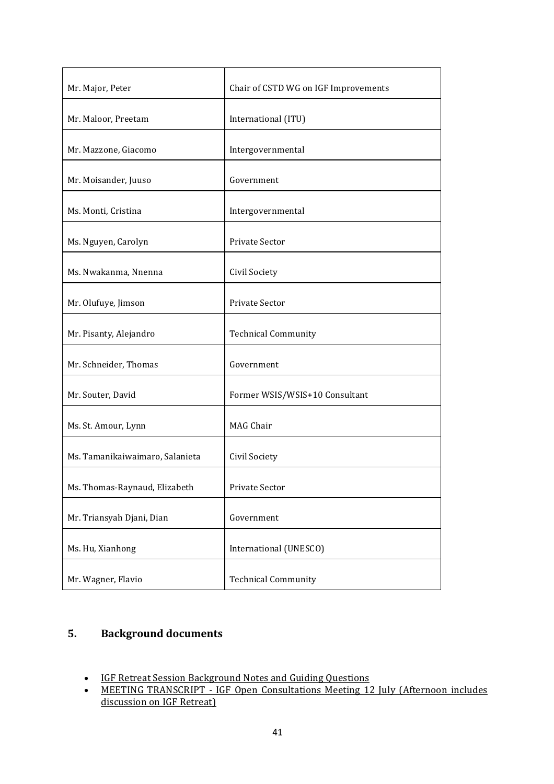| Mr. Major, Peter                | Chair of CSTD WG on IGF Improvements |  |  |
|---------------------------------|--------------------------------------|--|--|
| Mr. Maloor, Preetam             | International (ITU)                  |  |  |
| Mr. Mazzone, Giacomo            | Intergovernmental                    |  |  |
| Mr. Moisander, Juuso            | Government                           |  |  |
| Ms. Monti, Cristina             | Intergovernmental                    |  |  |
| Ms. Nguyen, Carolyn             | Private Sector                       |  |  |
| Ms. Nwakanma, Nnenna            | Civil Society                        |  |  |
| Mr. Olufuye, Jimson             | Private Sector                       |  |  |
| Mr. Pisanty, Alejandro          | <b>Technical Community</b>           |  |  |
| Mr. Schneider, Thomas           | Government                           |  |  |
| Mr. Souter, David               | Former WSIS/WSIS+10 Consultant       |  |  |
| Ms. St. Amour, Lynn             | <b>MAG Chair</b>                     |  |  |
| Ms. Tamanikaiwaimaro, Salanieta | Civil Society                        |  |  |
| Ms. Thomas-Raynaud, Elizabeth   | Private Sector                       |  |  |
| Mr. Triansyah Djani, Dian       | Government                           |  |  |
| Ms. Hu, Xianhong                | International (UNESCO)               |  |  |
| Mr. Wagner, Flavio              | <b>Technical Community</b>           |  |  |

# **5. Background documents**

- IGF Retreat Session Background Notes and Guiding Questions
- MEETING TRANSCRIPT IGF Open Consultations Meeting 12 July (Afternoon includes discussion on IGF Retreat)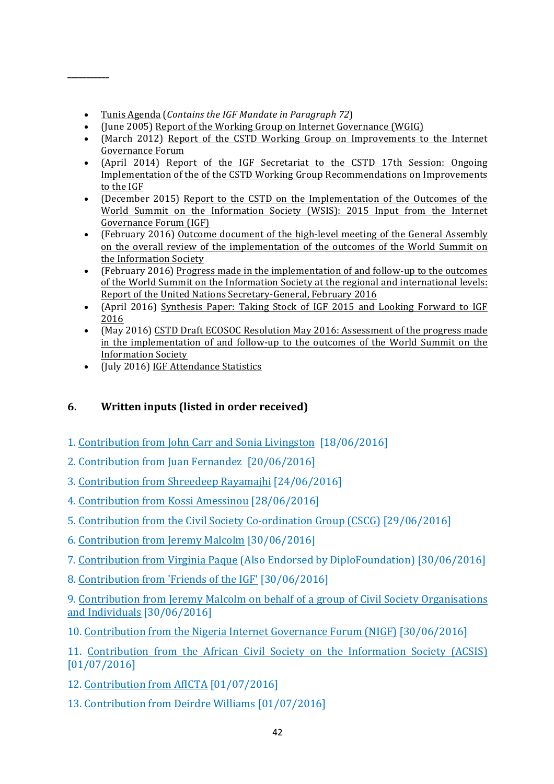• Tunis Agenda (*Contains the IGF Mandate in Paragraph 72*)

**\_\_\_\_\_\_\_\_\_\_\_**

- (June 2005) Report of the Working Group on Internet Governance (WGIG)
- (March 2012) Report of the CSTD Working Group on Improvements to the Internet Governance Forum
- (April 2014) Report of the IGF Secretariat to the CSTD 17th Session: Ongoing Implementation of the of the CSTD Working Group Recommendations on Improvements to the IGF
- (December 2015) Report to the CSTD on the Implementation of the Outcomes of the World Summit on the Information Society (WSIS): 2015 Input from the Internet Governance Forum (IGF)
- (February 2016) Outcome document of the high-level meeting of the General Assembly on the overall review of the implementation of the outcomes of the World Summit on the Information Society
- (February 2016) Progress made in the implementation of and follow-up to the outcomes of the World Summit on the Information Society at the regional and international levels: Report of the United Nations Secretary-General, February 2016
- (April 2016) Synthesis Paper: Taking Stock of IGF 2015 and Looking Forward to IGF 2016
- (May 2016) CSTD Draft ECOSOC Resolution May 2016: Assessment of the progress made in the implementation of and follow-up to the outcomes of the World Summit on the Information Society
- (July 2016) IGF Attendance Statistics

## **6.** Written inputs (listed in order received)

- 1. Contribution from John Carr and Sonia Livingston [18/06/2016]
- 2. Contribution from Juan Fernandez [20/06/2016]
- 3. Contribution from Shreedeep Rayamajhi [24/06/2016]
- 4. Contribution from Kossi Amessinou [28/06/2016]
- 5. Contribution from the Civil Society Co-ordination Group (CSCG) [29/06/2016]
- 6. Contribution from Jeremy Malcolm [30/06/2016]
- 7. Contribution from Virginia Paque (Also Endorsed by DiploFoundation) [30/06/2016]
- 8. Contribution from 'Friends of the IGF' [30/06/2016]

9. Contribution from Jeremy Malcolm on behalf of a group of Civil Society Organisations and Individuals  $[30/06/2016]$ 

10. Contribution from the Nigeria Internet Governance Forum (NIGF) [30/06/2016]

- 11. Contribution from the African Civil Society on the Information Society (ACSIS) [01/07/2016]
- 12. Contribution from AfICTA [01/07/2016]
- 13. Contribution from Deirdre Williams [01/07/2016]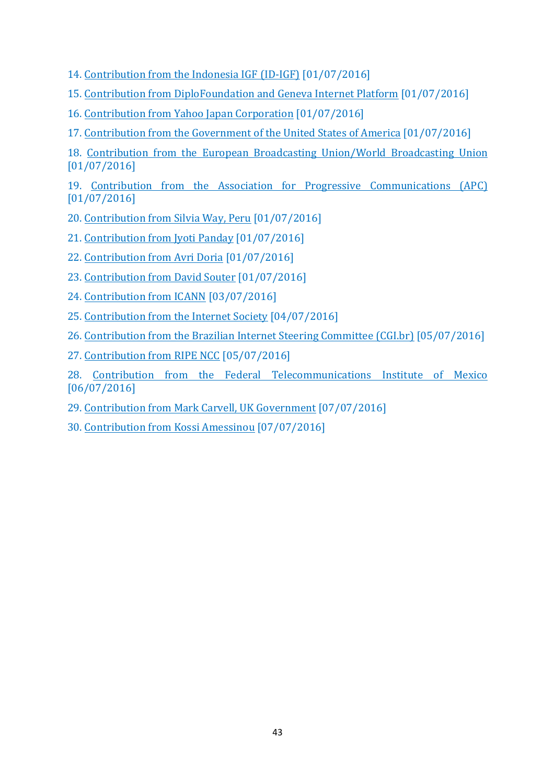- 14. Contribution from the Indonesia IGF (ID-IGF) [01/07/2016]
- 15. Contribution from DiploFoundation and Geneva Internet Platform [01/07/2016]
- 16. Contribution from Yahoo Japan Corporation [01/07/2016]
- 17. Contribution from the Government of the United States of America [01/07/2016]
- 18. Contribution from the European Broadcasting Union/World Broadcasting Union [01/07/2016]

19. Contribution from the Association for Progressive Communications (APC) [01/07/2016]

- 20. Contribution from Silvia Way, Peru [01/07/2016]
- 21. Contribution from Jyoti Panday [01/07/2016]
- 22. Contribution from Avri Doria [01/07/2016]
- 23. Contribution from David Souter [01/07/2016]
- 24. Contribution from ICANN [03/07/2016]
- 25. Contribution from the Internet Society [04/07/2016]
- 26. Contribution from the Brazilian Internet Steering Committee (CGI.br) [05/07/2016]
- 27. Contribution from RIPE NCC [05/07/2016]
- 28. Contribution from the Federal Telecommunications Institute of Mexico [06/07/2016]
- 29. Contribution from Mark Carvell, UK Government [07/07/2016]
- 30. Contribution from Kossi Amessinou [07/07/2016]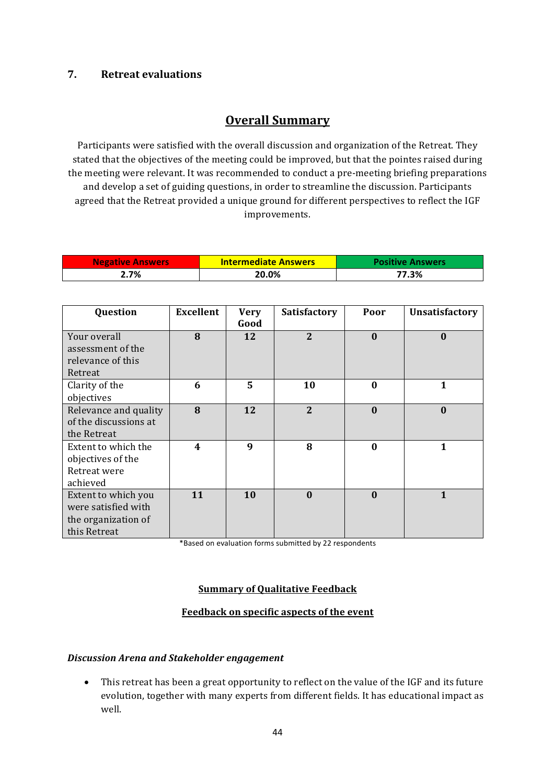### **7. Retreat evaluations**

# **Overall Summary**

Participants were satisfied with the overall discussion and organization of the Retreat. They stated that the objectives of the meeting could be improved, but that the pointes raised during the meeting were relevant. It was recommended to conduct a pre-meeting briefing preparations and develop a set of guiding questions, in order to streamline the discussion. Participants agreed that the Retreat provided a unique ground for different perspectives to reflect the IGF improvements.

| <b>Negative Answers</b> | <b>Intermediate Answers</b> | <b>Positive Answers</b> |
|-------------------------|-----------------------------|-------------------------|
| 2.7%                    | 20.0%                       | 77.3%                   |

| Question              | <b>Excellent</b> | <b>Very</b><br>Good | Satisfactory   | Poor         | <b>Unsatisfactory</b> |
|-----------------------|------------------|---------------------|----------------|--------------|-----------------------|
| Your overall          | 8                | 12                  | $\overline{2}$ | $\bf{0}$     | $\bf{0}$              |
| assessment of the     |                  |                     |                |              |                       |
| relevance of this     |                  |                     |                |              |                       |
| Retreat               |                  |                     |                |              |                       |
| Clarity of the        | 6                | 5                   | 10             | $\mathbf{0}$ | 1                     |
| objectives            |                  |                     |                |              |                       |
| Relevance and quality | 8                | 12                  | $\overline{2}$ | $\bf{0}$     | $\bf{0}$              |
| of the discussions at |                  |                     |                |              |                       |
| the Retreat           |                  |                     |                |              |                       |
| Extent to which the   | 4                | 9                   | 8              | $\bf{0}$     | $\mathbf{1}$          |
| objectives of the     |                  |                     |                |              |                       |
| Retreat were          |                  |                     |                |              |                       |
| achieved              |                  |                     |                |              |                       |
| Extent to which you   | 11               | 10                  | $\mathbf{0}$   | $\mathbf{0}$ | 1                     |
| were satisfied with   |                  |                     |                |              |                       |
| the organization of   |                  |                     |                |              |                       |
| this Retreat          |                  |                     |                |              |                       |

\*Based on evaluation forms submitted by 22 respondents

#### **Summary of Qualitative Feedback**

#### **Feedback on specific aspects of the event**

#### *Discussion Arena and Stakeholder engagement*

• This retreat has been a great opportunity to reflect on the value of the IGF and its future evolution, together with many experts from different fields. It has educational impact as well.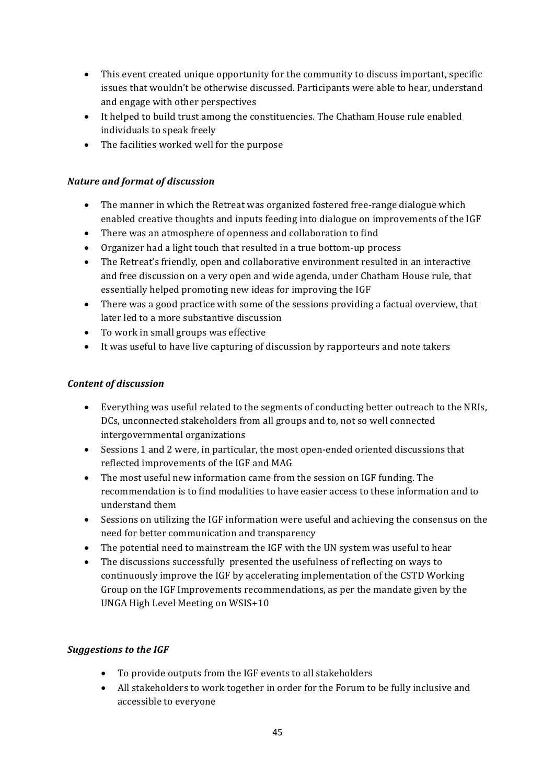- This event created unique opportunity for the community to discuss important, specific issues that wouldn't be otherwise discussed. Participants were able to hear, understand and engage with other perspectives
- It helped to build trust among the constituencies. The Chatham House rule enabled individuals to speak freely
- The facilities worked well for the purpose

#### *Nature and format of discussion*

- The manner in which the Retreat was organized fostered free-range dialogue which enabled creative thoughts and inputs feeding into dialogue on improvements of the IGF
- There was an atmosphere of openness and collaboration to find
- Organizer had a light touch that resulted in a true bottom-up process
- The Retreat's friendly, open and collaborative environment resulted in an interactive and free discussion on a very open and wide agenda, under Chatham House rule, that essentially helped promoting new ideas for improving the IGF
- There was a good practice with some of the sessions providing a factual overview, that later led to a more substantive discussion
- To work in small groups was effective
- It was useful to have live capturing of discussion by rapporteurs and note takers

#### *Content of discussion*

- Everything was useful related to the segments of conducting better outreach to the NRIs, DCs, unconnected stakeholders from all groups and to, not so well connected intergovernmental organizations
- Sessions 1 and 2 were, in particular, the most open-ended oriented discussions that reflected improvements of the IGF and MAG
- The most useful new information came from the session on IGF funding. The recommendation is to find modalities to have easier access to these information and to understand them
- Sessions on utilizing the IGF information were useful and achieving the consensus on the need for better communication and transparency
- The potential need to mainstream the IGF with the UN system was useful to hear
- The discussions successfully presented the usefulness of reflecting on ways to continuously improve the IGF by accelerating implementation of the CSTD Working Group on the IGF Improvements recommendations, as per the mandate given by the UNGA High Level Meeting on WSIS+10

#### **Suggestions to the IGF**

- To provide outputs from the IGF events to all stakeholders
- All stakeholders to work together in order for the Forum to be fully inclusive and accessible to everyone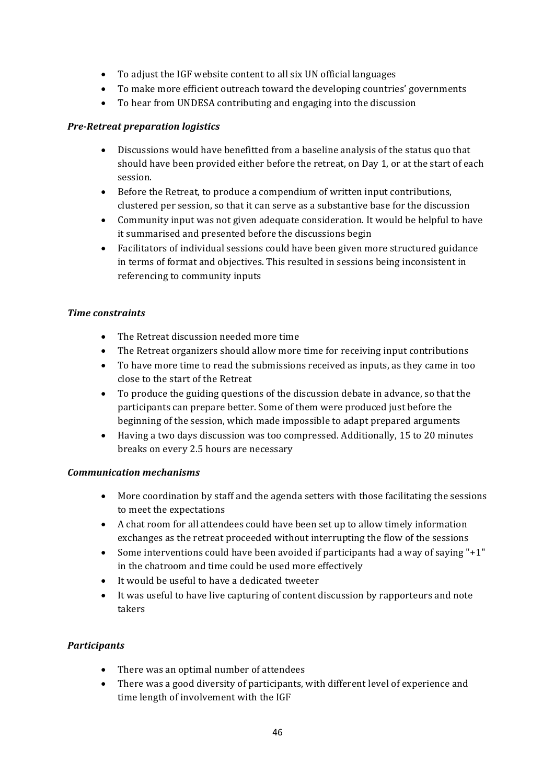- To adjust the IGF website content to all six UN official languages
- To make more efficient outreach toward the developing countries' governments
- To hear from UNDESA contributing and engaging into the discussion

#### *Pre-Retreat preparation logistics*

- Discussions would have benefitted from a baseline analysis of the status quo that should have been provided either before the retreat, on Day 1, or at the start of each session.
- Before the Retreat, to produce a compendium of written input contributions, clustered per session, so that it can serve as a substantive base for the discussion
- Community input was not given adequate consideration. It would be helpful to have it summarised and presented before the discussions begin
- Facilitators of individual sessions could have been given more structured guidance in terms of format and objectives. This resulted in sessions being inconsistent in referencing to community inputs

#### *Time constraints*

- The Retreat discussion needed more time
- The Retreat organizers should allow more time for receiving input contributions
- To have more time to read the submissions received as inputs, as they came in too close to the start of the Retreat
- To produce the guiding questions of the discussion debate in advance, so that the participants can prepare better. Some of them were produced just before the beginning of the session, which made impossible to adapt prepared arguments
- Having a two days discussion was too compressed. Additionally, 15 to 20 minutes breaks on every 2.5 hours are necessary

#### *Communication mechanisms*

- More coordination by staff and the agenda setters with those facilitating the sessions to meet the expectations
- A chat room for all attendees could have been set up to allow timely information exchanges as the retreat proceeded without interrupting the flow of the sessions
- Some interventions could have been avoided if participants had a way of saying " $+1$ " in the chatroom and time could be used more effectively
- $\bullet$  It would be useful to have a dedicated tweeter
- It was useful to have live capturing of content discussion by rapporteurs and note takers

### *Participants*

- There was an optimal number of attendees
- There was a good diversity of participants, with different level of experience and time length of involvement with the IGF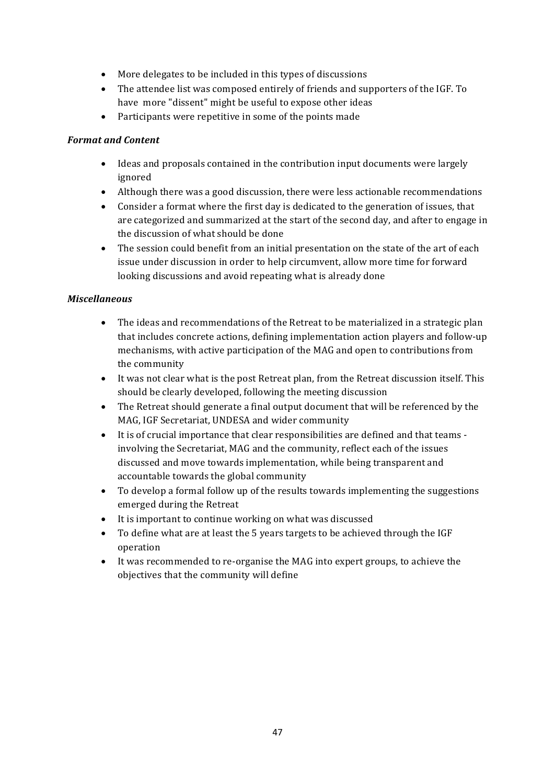- $\bullet$  More delegates to be included in this types of discussions
- The attendee list was composed entirely of friends and supporters of the IGF. To have more "dissent" might be useful to expose other ideas
- Participants were repetitive in some of the points made

#### **Format and Content**

- Ideas and proposals contained in the contribution input documents were largely ignored
- Although there was a good discussion, there were less actionable recommendations
- Consider a format where the first day is dedicated to the generation of issues, that are categorized and summarized at the start of the second day, and after to engage in the discussion of what should be done
- The session could benefit from an initial presentation on the state of the art of each issue under discussion in order to help circumvent, allow more time for forward looking discussions and avoid repeating what is already done

#### *Miscellaneous*

- The ideas and recommendations of the Retreat to be materialized in a strategic plan that includes concrete actions, defining implementation action players and follow-up mechanisms, with active participation of the MAG and open to contributions from the community
- It was not clear what is the post Retreat plan, from the Retreat discussion itself. This should be clearly developed, following the meeting discussion
- The Retreat should generate a final output document that will be referenced by the MAG, IGF Secretariat, UNDESA and wider community
- It is of crucial importance that clear responsibilities are defined and that teams involving the Secretariat, MAG and the community, reflect each of the issues discussed and move towards implementation, while being transparent and accountable towards the global community
- To develop a formal follow up of the results towards implementing the suggestions emerged during the Retreat
- It is important to continue working on what was discussed
- To define what are at least the 5 years targets to be achieved through the IGF operation
- It was recommended to re-organise the MAG into expert groups, to achieve the objectives that the community will define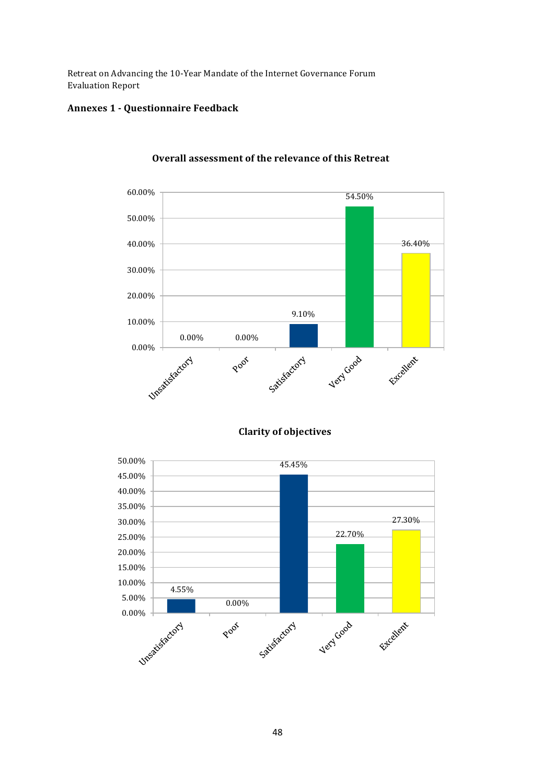Retreat on Advancing the 10-Year Mandate of the Internet Governance Forum Evaluation Report

#### **Annexes 1 - Questionnaire Feedback**



#### **Overall assessment of the relevance of this Retreat**

**Clarity of objectives**